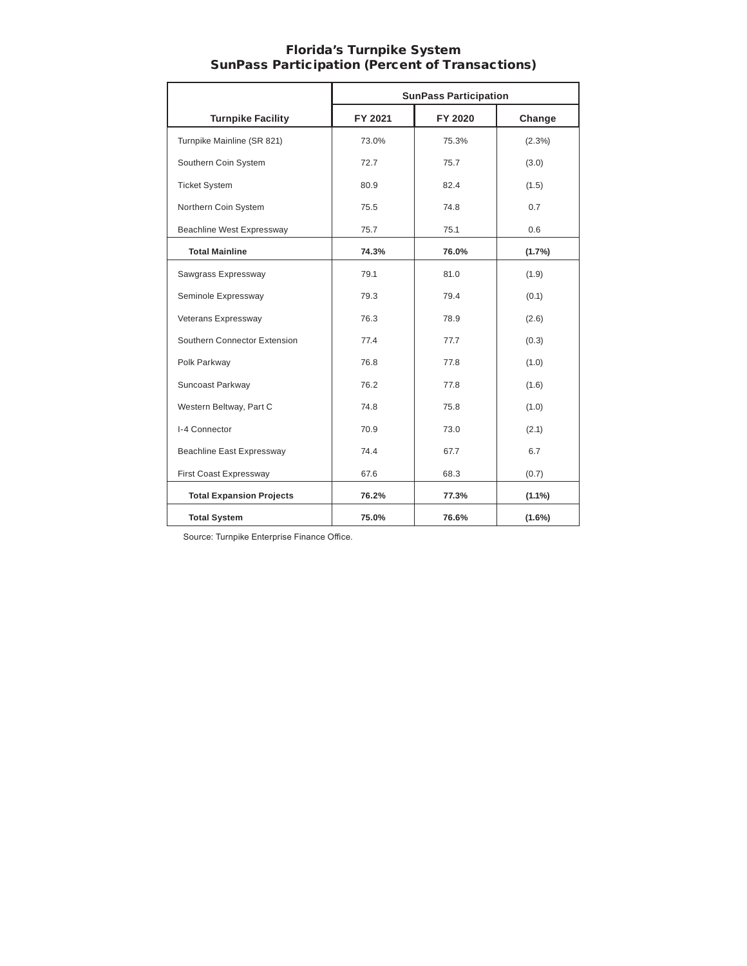|                                  | <b>SunPass Participation</b> |         |           |  |  |
|----------------------------------|------------------------------|---------|-----------|--|--|
| <b>Turnpike Facility</b>         | FY 2021                      | FY 2020 | Change    |  |  |
| Turnpike Mainline (SR 821)       | 73.0%                        | 75.3%   | (2.3%)    |  |  |
| Southern Coin System             | 72.7                         | 75.7    | (3.0)     |  |  |
| <b>Ticket System</b>             | 80.9                         | 82.4    | (1.5)     |  |  |
| Northern Coin System             | 75.5                         | 74.8    | 0.7       |  |  |
| <b>Beachline West Expressway</b> | 75.7                         | 75.1    | 0.6       |  |  |
| <b>Total Mainline</b>            | 74.3%                        | 76.0%   | $(1.7\%)$ |  |  |
| Sawgrass Expressway              | 79.1                         | 81.0    | (1.9)     |  |  |
| Seminole Expressway              | 79.3                         | 79.4    | (0.1)     |  |  |
| Veterans Expressway              | 76.3                         | 78.9    | (2.6)     |  |  |
| Southern Connector Extension     | 77.4                         | 77.7    | (0.3)     |  |  |
| Polk Parkway                     | 76.8                         | 77.8    | (1.0)     |  |  |
| Suncoast Parkway                 | 76.2                         | 77.8    | (1.6)     |  |  |
| Western Beltway, Part C          | 74.8                         | 75.8    | (1.0)     |  |  |
| I-4 Connector                    | 70.9                         | 73.0    | (2.1)     |  |  |
| <b>Beachline East Expressway</b> | 74.4                         | 67.7    | 6.7       |  |  |
| First Coast Expressway           | 67.6                         | 68.3    | (0.7)     |  |  |
| <b>Total Expansion Projects</b>  | 76.2%                        | 77.3%   | $(1.1\%)$ |  |  |
| <b>Total System</b>              | 75.0%                        | 76.6%   | $(1.6\%)$ |  |  |

#### Florida's Turnpike System SunPass Participation (Percent of Transactions)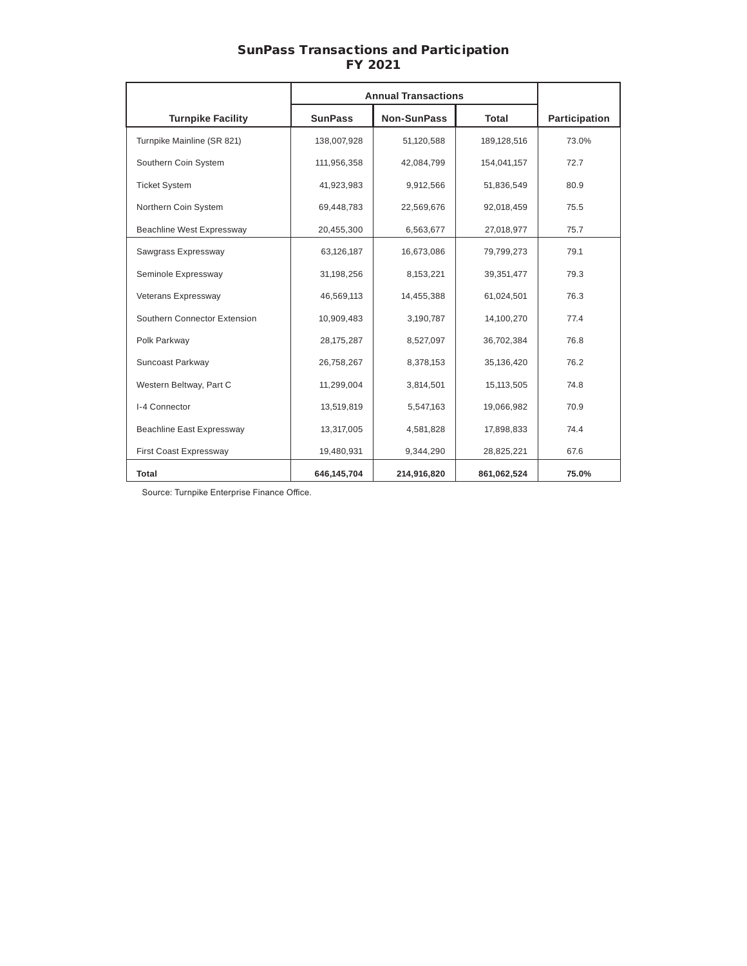#### SunPass Transactions and Participation FY 2021

|                              | <b>Annual Transactions</b> |                    |              |               |
|------------------------------|----------------------------|--------------------|--------------|---------------|
| <b>Turnpike Facility</b>     | <b>SunPass</b>             | <b>Non-SunPass</b> | <b>Total</b> | Participation |
| Turnpike Mainline (SR 821)   | 138,007,928                | 51,120,588         | 189,128,516  | 73.0%         |
| Southern Coin System         | 111,956,358                | 42,084,799         | 154,041,157  | 72.7          |
| <b>Ticket System</b>         | 41,923,983                 | 9,912,566          | 51,836,549   | 80.9          |
| Northern Coin System         | 69,448,783                 | 22,569,676         | 92,018,459   | 75.5          |
| Beachline West Expressway    | 20,455,300                 | 6,563,677          | 27,018,977   | 75.7          |
| Sawgrass Expressway          | 63,126,187                 | 16,673,086         | 79,799,273   | 79.1          |
| Seminole Expressway          | 31,198,256                 | 8,153,221          | 39,351,477   | 79.3          |
| Veterans Expressway          | 46,569,113                 | 14,455,388         | 61,024,501   | 76.3          |
| Southern Connector Extension | 10,909,483                 | 3,190,787          | 14,100,270   | 77.4          |
| Polk Parkway                 | 28, 175, 287               | 8,527,097          | 36,702,384   | 76.8          |
| Suncoast Parkway             | 26,758,267                 | 8,378,153          | 35,136,420   | 76.2          |
| Western Beltway, Part C      | 11,299,004                 | 3,814,501          | 15,113,505   | 74.8          |
| I-4 Connector                | 13,519,819                 | 5,547,163          | 19,066,982   | 70.9          |
| Beachline East Expressway    | 13,317,005                 | 4,581,828          | 17,898,833   | 74.4          |
| First Coast Expressway       | 19,480,931                 | 9,344,290          | 28,825,221   | 67.6          |
| Total                        | 646,145,704                | 214,916,820        | 861,062,524  | 75.0%         |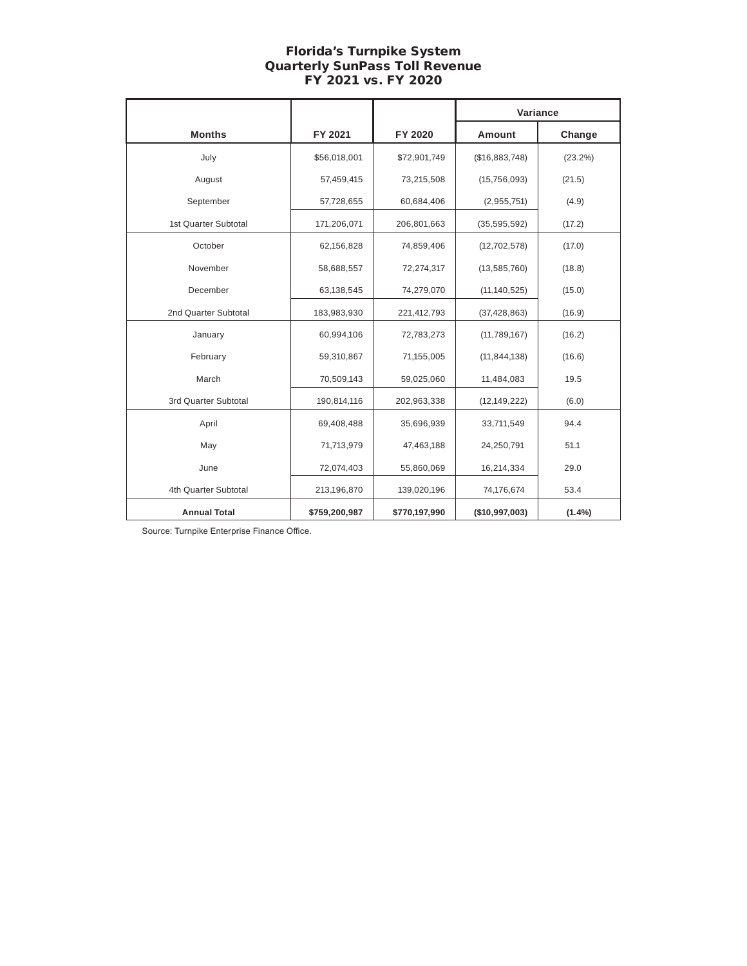# Florida's Turnpike System Quarterly SunPass Toll Revenue FY 2021 vs. FY 2020

|                      |               |               | Variance       |            |
|----------------------|---------------|---------------|----------------|------------|
| <b>Months</b>        | FY 2021       | FY 2020       | Amount         | Change     |
| July                 | \$56,018,001  | \$72,901,749  | (\$16,883,748) | $(23.2\%)$ |
| August               | 57,459,415    | 73,215,508    | (15, 756, 093) | (21.5)     |
| September            | 57,728,655    | 60,684,406    | (2,955,751)    | (4.9)      |
| 1st Quarter Subtotal | 171,206,071   | 206,801,663   | (35, 595, 592) | (17.2)     |
| October              | 62,156,828    | 74,859,406    | (12, 702, 578) | (17.0)     |
| November             | 58,688,557    | 72,274,317    | (13, 585, 760) | (18.8)     |
| December             | 63,138,545    | 74,279,070    | (11, 140, 525) | (15.0)     |
| 2nd Quarter Subtotal | 183,983,930   | 221,412,793   | (37, 428, 863) | (16.9)     |
| January              | 60,994,106    | 72,783,273    | (11,789,167)   | (16.2)     |
| February             | 59,310,867    | 71,155,005    | (11, 844, 138) | (16.6)     |
| March                | 70,509,143    | 59,025,060    | 11,484,083     | 19.5       |
| 3rd Quarter Subtotal | 190,814,116   | 202,963,338   | (12, 149, 222) | (6.0)      |
| April                | 69,408,488    | 35,696,939    | 33,711,549     | 94.4       |
| May                  | 71,713,979    | 47,463,188    | 24,250,791     | 51.1       |
| June                 | 72,074,403    | 55,860,069    | 16,214,334     | 29.0       |
| 4th Quarter Subtotal | 213,196,870   | 139,020,196   | 74,176,674     | 53.4       |
| <b>Annual Total</b>  | \$759,200,987 | \$770,197,990 | (\$10,997,003) | $(1.4\%)$  |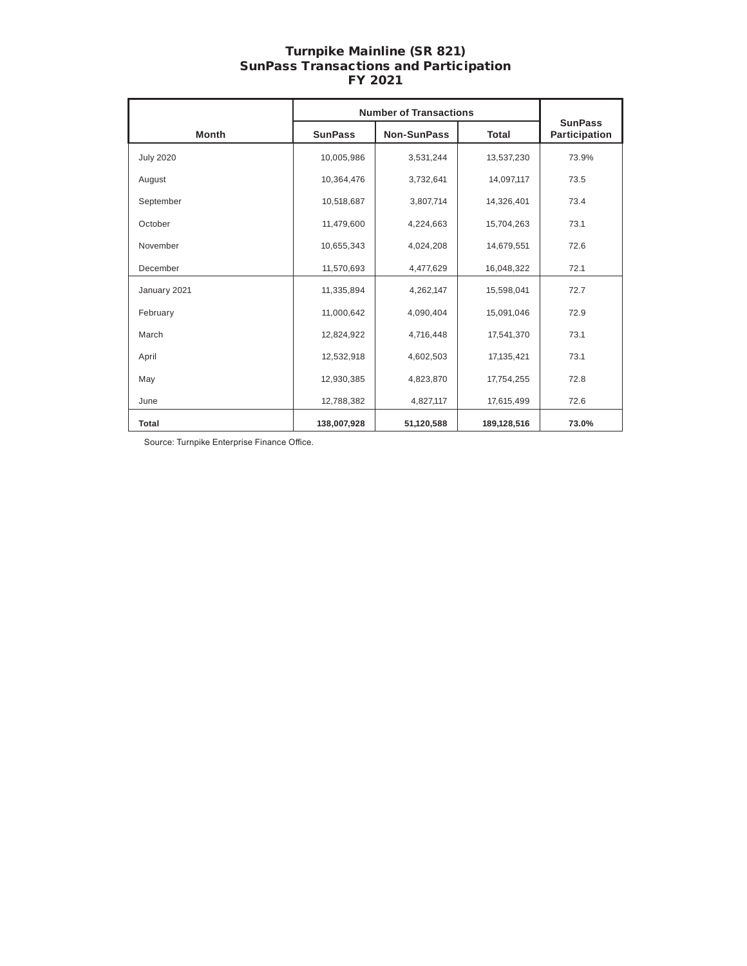## Turnpike Mainline (SR 821) SunPass Transactions and Participation FY 2021

|                  | <b>Number of Transactions</b> |                    |              |                                 |
|------------------|-------------------------------|--------------------|--------------|---------------------------------|
| <b>Month</b>     | <b>SunPass</b>                | <b>Non-SunPass</b> | <b>Total</b> | <b>SunPass</b><br>Participation |
| <b>July 2020</b> | 10,005,986                    | 3,531,244          | 13,537,230   | 73.9%                           |
| August           | 10,364,476                    | 3,732,641          | 14,097,117   | 73.5                            |
| September        | 10,518,687                    | 3,807,714          | 14,326,401   | 73.4                            |
| October          | 11,479,600                    | 4,224,663          | 15,704,263   | 73.1                            |
| November         | 10,655,343                    | 4,024,208          | 14,679,551   | 72.6                            |
| December         | 11,570,693                    | 4,477,629          | 16,048,322   | 72.1                            |
| January 2021     | 11,335,894                    | 4,262,147          | 15,598,041   | 72.7                            |
| February         | 11,000,642                    | 4,090,404          | 15,091,046   | 72.9                            |
| March            | 12,824,922                    | 4,716,448          | 17,541,370   | 73.1                            |
| April            | 12,532,918                    | 4,602,503          | 17,135,421   | 73.1                            |
| May              | 12,930,385                    | 4,823,870          | 17,754,255   | 72.8                            |
| June             | 12,788,382                    | 4,827,117          | 17,615,499   | 72.6                            |
| <b>Total</b>     | 138,007,928                   | 51,120,588         | 189,128,516  | 73.0%                           |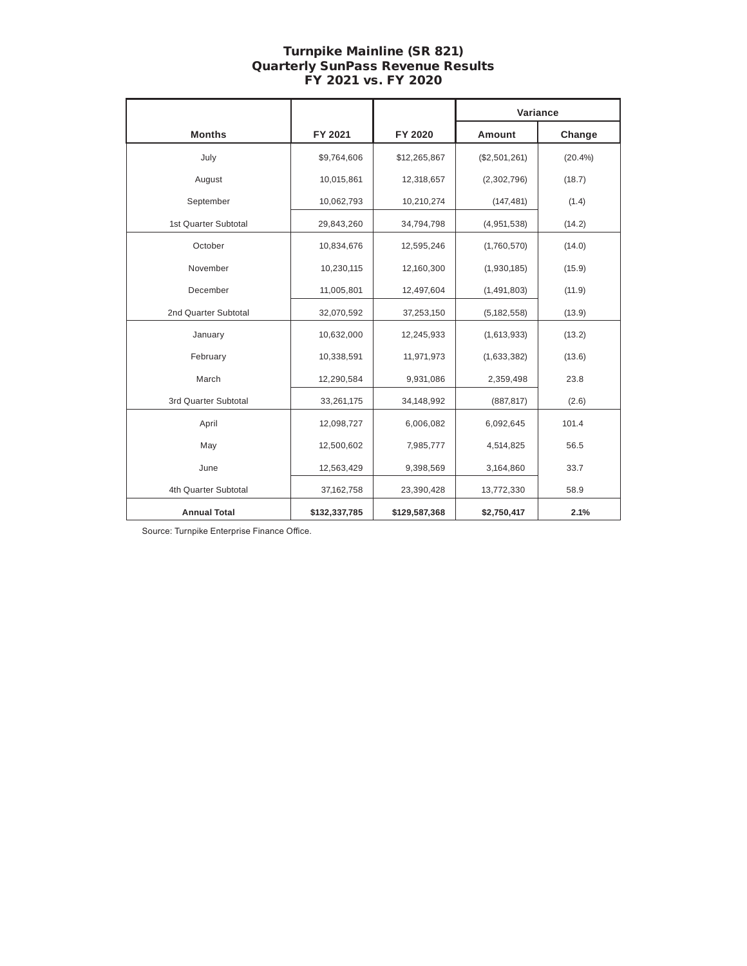# Turnpike Mainline (SR 821) Quarterly SunPass Revenue Results FY 2021 vs. FY 2020

|                      |               |               | Variance      |        |
|----------------------|---------------|---------------|---------------|--------|
| <b>Months</b>        | FY 2021       | FY 2020       | Amount        | Change |
| July                 | \$9,764,606   | \$12,265,867  | (\$2,501,261) | (20.4% |
| August               | 10,015,861    | 12,318,657    | (2,302,796)   | (18.7) |
| September            | 10,062,793    | 10,210,274    | (147, 481)    | (1.4)  |
| 1st Quarter Subtotal | 29,843,260    | 34,794,798    | (4,951,538)   | (14.2) |
| October              | 10,834,676    | 12,595,246    | (1,760,570)   | (14.0) |
| November             | 10,230,115    | 12,160,300    | (1,930,185)   | (15.9) |
| December             | 11,005,801    | 12,497,604    | (1,491,803)   | (11.9) |
| 2nd Quarter Subtotal | 32,070,592    | 37,253,150    | (5, 182, 558) | (13.9) |
| January              | 10,632,000    | 12,245,933    | (1,613,933)   | (13.2) |
| February             | 10,338,591    | 11,971,973    | (1,633,382)   | (13.6) |
| March                | 12,290,584    | 9,931,086     | 2,359,498     | 23.8   |
| 3rd Quarter Subtotal | 33,261,175    | 34,148,992    | (887, 817)    | (2.6)  |
| April                | 12,098,727    | 6,006,082     | 6,092,645     | 101.4  |
| May                  | 12,500,602    | 7,985,777     | 4,514,825     | 56.5   |
| June                 | 12,563,429    | 9,398,569     | 3,164,860     | 33.7   |
| 4th Quarter Subtotal | 37,162,758    | 23,390,428    | 13,772,330    | 58.9   |
| <b>Annual Total</b>  | \$132,337,785 | \$129,587,368 | \$2,750,417   | 2.1%   |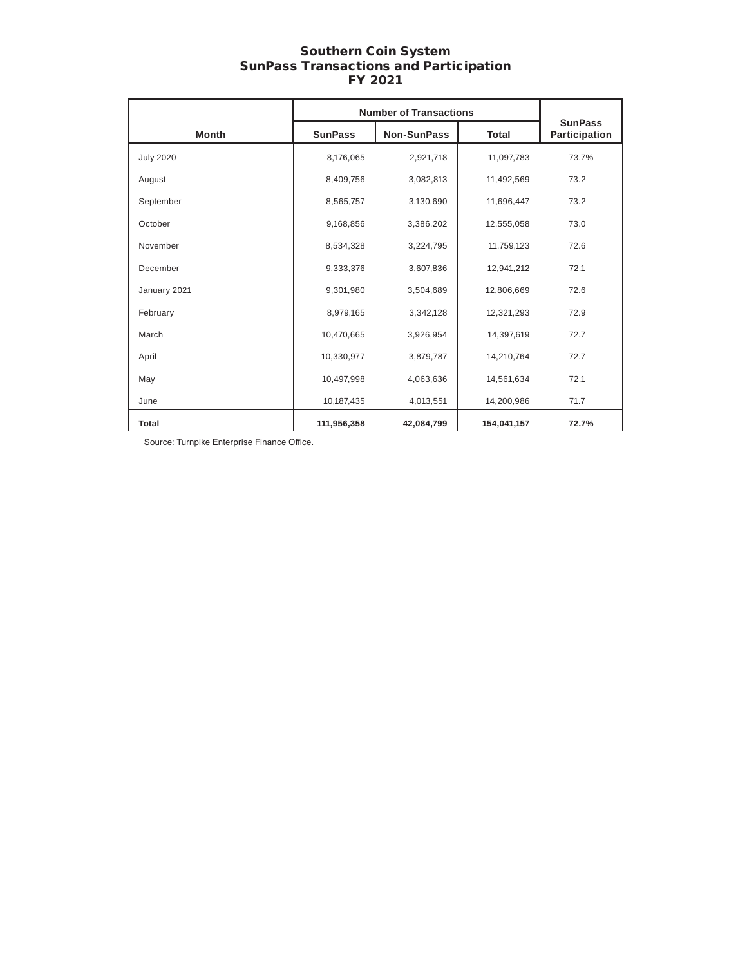### Southern Coin System SunPass Transactions and Participation FY 2021

|                  | <b>Number of Transactions</b> |                    |              |                                 |
|------------------|-------------------------------|--------------------|--------------|---------------------------------|
| <b>Month</b>     | <b>SunPass</b>                | <b>Non-SunPass</b> | <b>Total</b> | <b>SunPass</b><br>Participation |
| <b>July 2020</b> | 8,176,065                     | 2,921,718          | 11,097,783   | 73.7%                           |
| August           | 8,409,756                     | 3,082,813          | 11,492,569   | 73.2                            |
| September        | 8,565,757                     | 3,130,690          | 11,696,447   | 73.2                            |
| October          | 9,168,856                     | 3,386,202          | 12,555,058   | 73.0                            |
| November         | 8,534,328                     | 3,224,795          | 11,759,123   | 72.6                            |
| December         | 9,333,376                     | 3,607,836          | 12,941,212   | 72.1                            |
| January 2021     | 9,301,980                     | 3,504,689          | 12,806,669   | 72.6                            |
| February         | 8,979,165                     | 3,342,128          | 12,321,293   | 72.9                            |
| March            | 10,470,665                    | 3,926,954          | 14,397,619   | 72.7                            |
| April            | 10,330,977                    | 3,879,787          | 14,210,764   | 72.7                            |
| May              | 10,497,998                    | 4,063,636          | 14,561,634   | 72.1                            |
| June             | 10,187,435                    | 4,013,551          | 14,200,986   | 71.7                            |
| <b>Total</b>     | 111,956,358                   | 42,084,799         | 154,041,157  | 72.7%                           |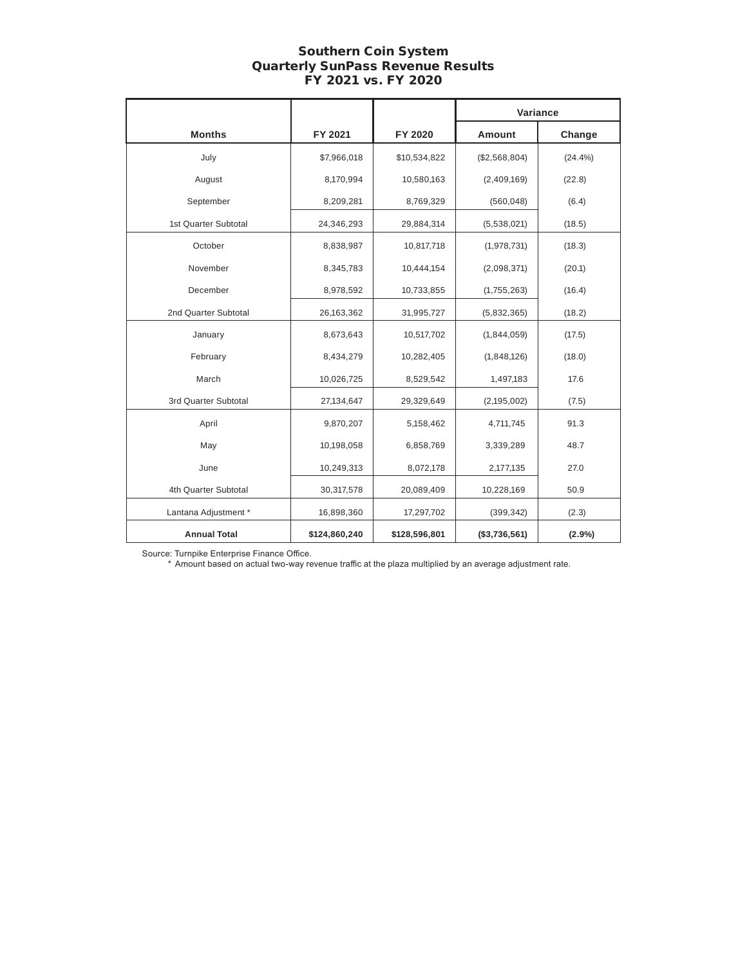# Southern Coin System Quarterly SunPass Revenue Results FY 2021 vs. FY 2020

|                      |               |               | Variance      |         |
|----------------------|---------------|---------------|---------------|---------|
| <b>Months</b>        | FY 2021       | FY 2020       | Amount        | Change  |
| July                 | \$7,966,018   | \$10,534,822  | (\$2,568,804) | (24.4%) |
| August               | 8,170,994     | 10,580,163    | (2,409,169)   | (22.8)  |
| September            | 8,209,281     | 8,769,329     | (560, 048)    | (6.4)   |
| 1st Quarter Subtotal | 24,346,293    | 29,884,314    | (5,538,021)   | (18.5)  |
| October              | 8,838,987     | 10,817,718    | (1,978,731)   | (18.3)  |
| November             | 8,345,783     | 10,444,154    | (2,098,371)   | (20.1)  |
| December             | 8,978,592     | 10,733,855    | (1,755,263)   | (16.4)  |
| 2nd Quarter Subtotal | 26,163,362    | 31,995,727    | (5,832,365)   | (18.2)  |
| January              | 8,673,643     | 10,517,702    | (1,844,059)   | (17.5)  |
| February             | 8,434,279     | 10,282,405    | (1,848,126)   | (18.0)  |
| March                | 10,026,725    | 8,529,542     | 1,497,183     | 17.6    |
| 3rd Quarter Subtotal | 27,134,647    | 29,329,649    | (2, 195, 002) | (7.5)   |
| April                | 9,870,207     | 5,158,462     | 4,711,745     | 91.3    |
| May                  | 10,198,058    | 6,858,769     | 3,339,289     | 48.7    |
| June                 | 10,249,313    | 8,072,178     | 2,177,135     | 27.0    |
| 4th Quarter Subtotal | 30,317,578    | 20,089,409    | 10,228,169    | 50.9    |
| Lantana Adjustment * | 16,898,360    | 17,297,702    | (399, 342)    | (2.3)   |
| <b>Annual Total</b>  | \$124,860,240 | \$128,596,801 | (\$3,736,561) | (2.9%)  |

Source: Turnpike Enterprise Finance Office.

\* Amount based on actual two-way revenue traffic at the plaza multiplied by an average adjustment rate.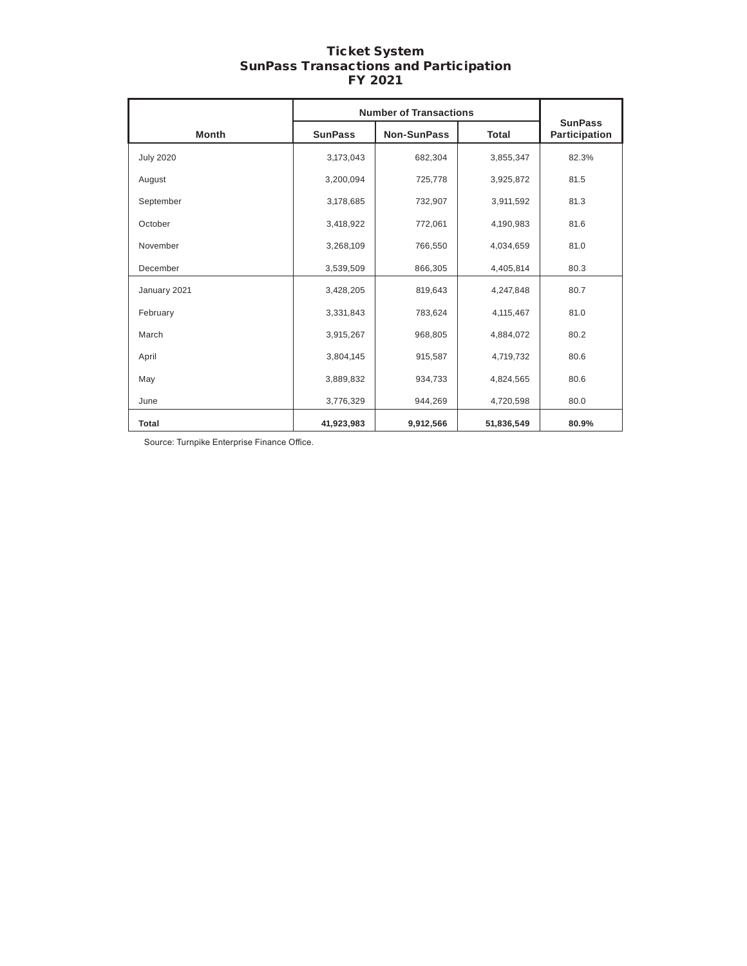# Ticket System SunPass Transactions and Participation FY 2021

|                  | <b>Number of Transactions</b> |                    |              |                                 |
|------------------|-------------------------------|--------------------|--------------|---------------------------------|
| <b>Month</b>     | <b>SunPass</b>                | <b>Non-SunPass</b> | <b>Total</b> | <b>SunPass</b><br>Participation |
| <b>July 2020</b> | 3,173,043                     | 682,304            | 3,855,347    | 82.3%                           |
| August           | 3,200,094                     | 725,778            | 3,925,872    | 81.5                            |
| September        | 3,178,685                     | 732,907            | 3,911,592    | 81.3                            |
| October          | 3,418,922                     | 772,061            | 4,190,983    | 81.6                            |
| November         | 3,268,109                     | 766,550            | 4,034,659    | 81.0                            |
| December         | 3,539,509                     | 866,305            | 4,405,814    | 80.3                            |
| January 2021     | 3,428,205                     | 819,643            | 4,247,848    | 80.7                            |
| February         | 3,331,843                     | 783,624            | 4,115,467    | 81.0                            |
| March            | 3,915,267                     | 968,805            | 4,884,072    | 80.2                            |
| April            | 3,804,145                     | 915,587            | 4,719,732    | 80.6                            |
| May              | 3,889,832                     | 934,733            | 4,824,565    | 80.6                            |
| June             | 3,776,329                     | 944,269            | 4,720,598    | 80.0                            |
| <b>Total</b>     | 41,923,983                    | 9,912,566          | 51,836,549   | 80.9%                           |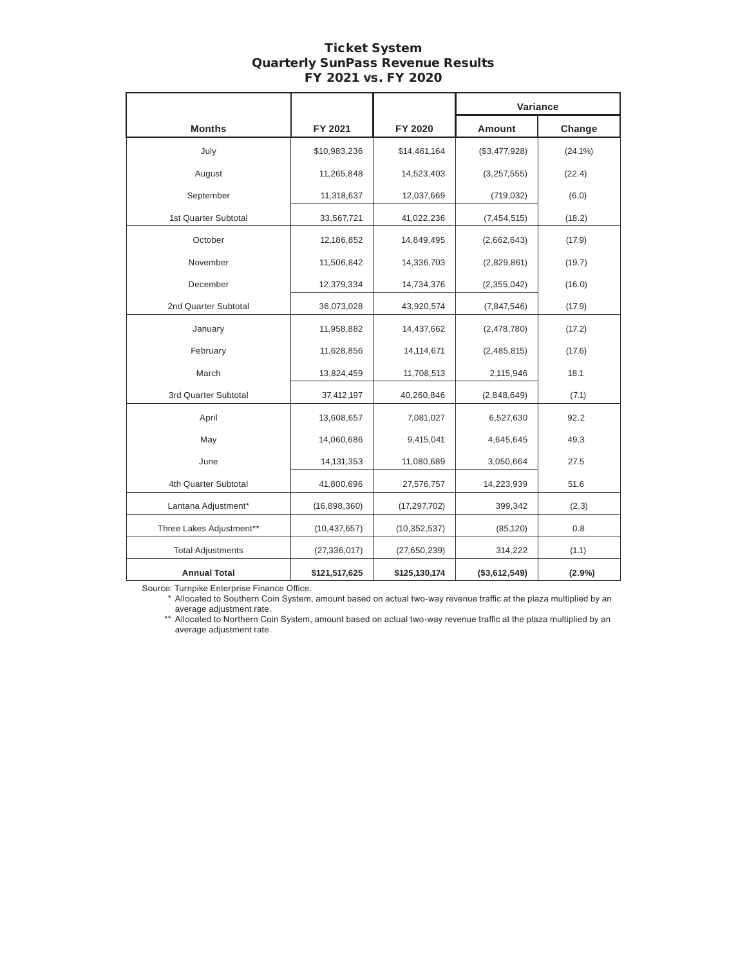# Ticket System Quarterly SunPass Revenue Results FY 2021 vs. FY 2020

|                          |                |                | Variance      |            |
|--------------------------|----------------|----------------|---------------|------------|
| <b>Months</b>            | FY 2021        | FY 2020        | Amount        | Change     |
| July                     | \$10,983,236   | \$14,461,164   | (\$3,477,928) | $(24.1\%)$ |
| August                   | 11,265,848     | 14,523,403     | (3, 257, 555) | (22.4)     |
| September                | 11,318,637     | 12,037,669     | (719, 032)    | (6.0)      |
| 1st Quarter Subtotal     | 33,567,721     | 41,022,236     | (7, 454, 515) | (18.2)     |
| October                  | 12,186,852     | 14,849,495     | (2,662,643)   | (17.9)     |
| November                 | 11,506,842     | 14,336,703     | (2,829,861)   | (19.7)     |
| December                 | 12,379,334     | 14,734,376     | (2,355,042)   | (16.0)     |
| 2nd Quarter Subtotal     | 36,073,028     | 43,920,574     | (7,847,546)   | (17.9)     |
| January                  | 11,958,882     | 14,437,662     | (2,478,780)   | (17.2)     |
| February                 | 11,628,856     | 14,114,671     | (2,485,815)   | (17.6)     |
| March                    | 13,824,459     | 11,708,513     | 2,115,946     | 18.1       |
| 3rd Quarter Subtotal     | 37,412,197     | 40,260,846     | (2,848,649)   | (7.1)      |
| April                    | 13,608,657     | 7,081,027      | 6,527,630     | 92.2       |
| May                      | 14,060,686     | 9,415,041      | 4,645,645     | 49.3       |
| June                     | 14, 131, 353   | 11,080,689     | 3,050,664     | 27.5       |
| 4th Quarter Subtotal     | 41,800,696     | 27,576,757     | 14,223,939    | 51.6       |
| Lantana Adjustment*      | (16,898,360)   | (17, 297, 702) | 399,342       | (2.3)      |
| Three Lakes Adjustment** | (10, 437, 657) | (10, 352, 537) | (85, 120)     | 0.8        |
| <b>Total Adjustments</b> | (27, 336, 017) | (27,650,239)   | 314,222       | (1.1)      |
| <b>Annual Total</b>      | \$121,517,625  | \$125,130,174  | (\$3,612,549) | (2.9%)     |

Source: Turnpike Enterprise Finance Office.

\* Allocated to Southern Coin System, amount based on actual two-way revenue traffic at the plaza multiplied by an average adjustment rate.

\*\* Allocated to Northern Coin System, amount based on actual two-way revenue traffic at the plaza multiplied by an average adjustment rate.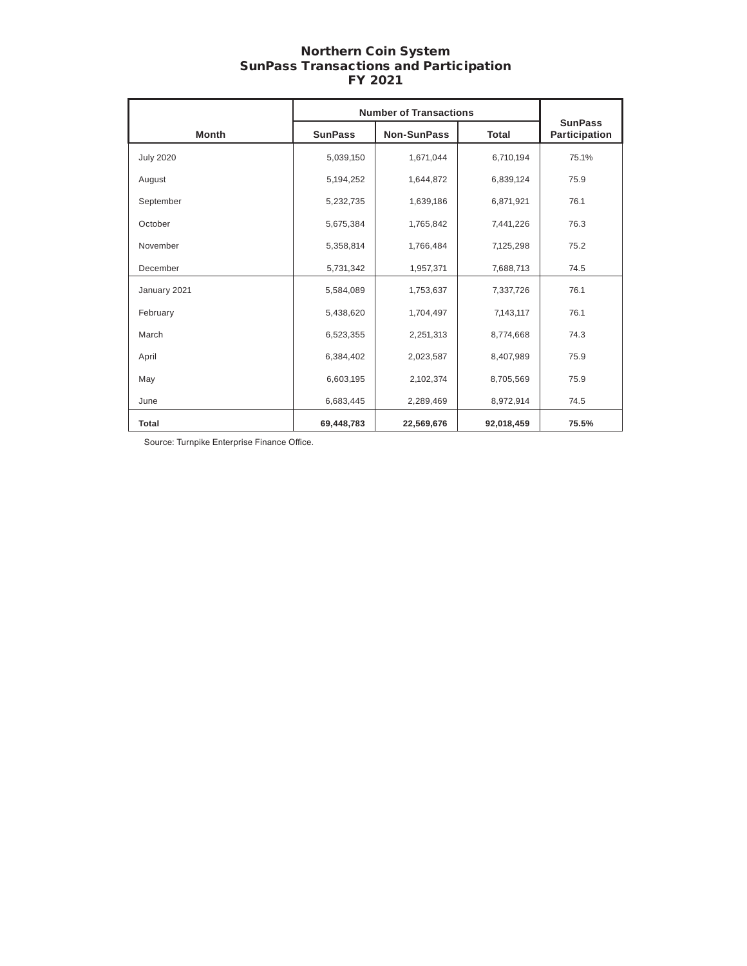### Northern Coin System SunPass Transactions and Participation FY 2021

|                  | <b>Number of Transactions</b> |                    |              |                                 |
|------------------|-------------------------------|--------------------|--------------|---------------------------------|
| <b>Month</b>     | <b>SunPass</b>                | <b>Non-SunPass</b> | <b>Total</b> | <b>SunPass</b><br>Participation |
| <b>July 2020</b> | 5,039,150                     | 1,671,044          | 6,710,194    | 75.1%                           |
| August           | 5,194,252                     | 1,644,872          | 6,839,124    | 75.9                            |
| September        | 5,232,735                     | 1,639,186          | 6,871,921    | 76.1                            |
| October          | 5,675,384                     | 1,765,842          | 7,441,226    | 76.3                            |
| November         | 5,358,814                     | 1,766,484          | 7,125,298    | 75.2                            |
| December         | 5,731,342                     | 1,957,371          | 7,688,713    | 74.5                            |
| January 2021     | 5,584,089                     | 1,753,637          | 7,337,726    | 76.1                            |
| February         | 5,438,620                     | 1,704,497          | 7,143,117    | 76.1                            |
| March            | 6,523,355                     | 2,251,313          | 8,774,668    | 74.3                            |
| April            | 6,384,402                     | 2,023,587          | 8,407,989    | 75.9                            |
| May              | 6,603,195                     | 2,102,374          | 8,705,569    | 75.9                            |
| June             | 6,683,445                     | 2,289,469          | 8,972,914    | 74.5                            |
| <b>Total</b>     | 69,448,783                    | 22,569,676         | 92,018,459   | 75.5%                           |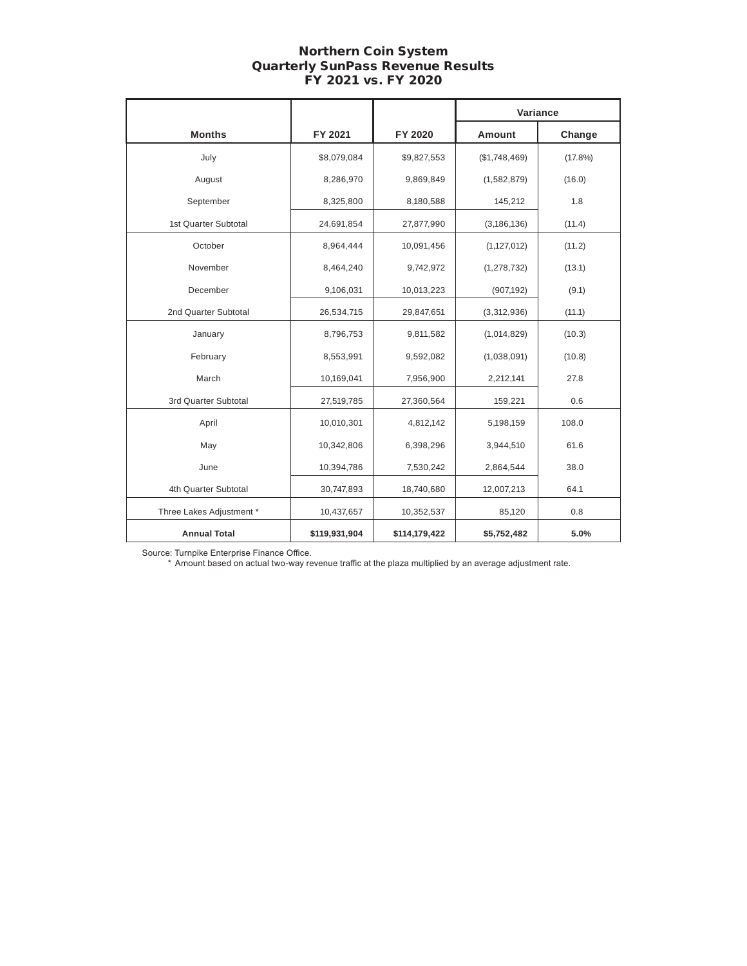# Northern Coin System Quarterly SunPass Revenue Results FY 2021 vs. FY 2020

|                          |               |               | Variance      |            |
|--------------------------|---------------|---------------|---------------|------------|
| <b>Months</b>            | FY 2021       | FY 2020       | <b>Amount</b> | Change     |
| July                     | \$8,079,084   | \$9,827,553   | (\$1,748,469) | $(17.8\%)$ |
| August                   | 8,286,970     | 9,869,849     | (1,582,879)   | (16.0)     |
| September                | 8,325,800     | 8,180,588     | 145,212       | 1.8        |
| 1st Quarter Subtotal     | 24,691,854    | 27,877,990    | (3, 186, 136) | (11.4)     |
| October                  | 8,964,444     | 10,091,456    | (1, 127, 012) | (11.2)     |
| November                 | 8,464,240     | 9,742,972     | (1, 278, 732) | (13.1)     |
| December                 | 9,106,031     | 10,013,223    | (907, 192)    | (9.1)      |
| 2nd Quarter Subtotal     | 26,534,715    | 29,847,651    | (3,312,936)   | (11.1)     |
| January                  | 8,796,753     | 9,811,582     | (1,014,829)   | (10.3)     |
| February                 | 8,553,991     | 9,592,082     | (1,038,091)   | (10.8)     |
| March                    | 10,169,041    | 7,956,900     | 2,212,141     | 27.8       |
| 3rd Quarter Subtotal     | 27,519,785    | 27,360,564    | 159,221       | 0.6        |
| April                    | 10,010,301    | 4,812,142     | 5,198,159     | 108.0      |
| May                      | 10,342,806    | 6,398,296     | 3,944,510     | 61.6       |
| June                     | 10,394,786    | 7,530,242     | 2,864,544     | 38.0       |
| 4th Quarter Subtotal     | 30,747,893    | 18,740,680    | 12,007,213    | 64.1       |
| Three Lakes Adjustment * | 10,437,657    | 10,352,537    | 85,120        | 0.8        |
| <b>Annual Total</b>      | \$119,931,904 | \$114,179,422 | \$5,752,482   | 5.0%       |

Source: Turnpike Enterprise Finance Office.

\* Amount based on actual two-way revenue traffic at the plaza multiplied by an average adjustment rate.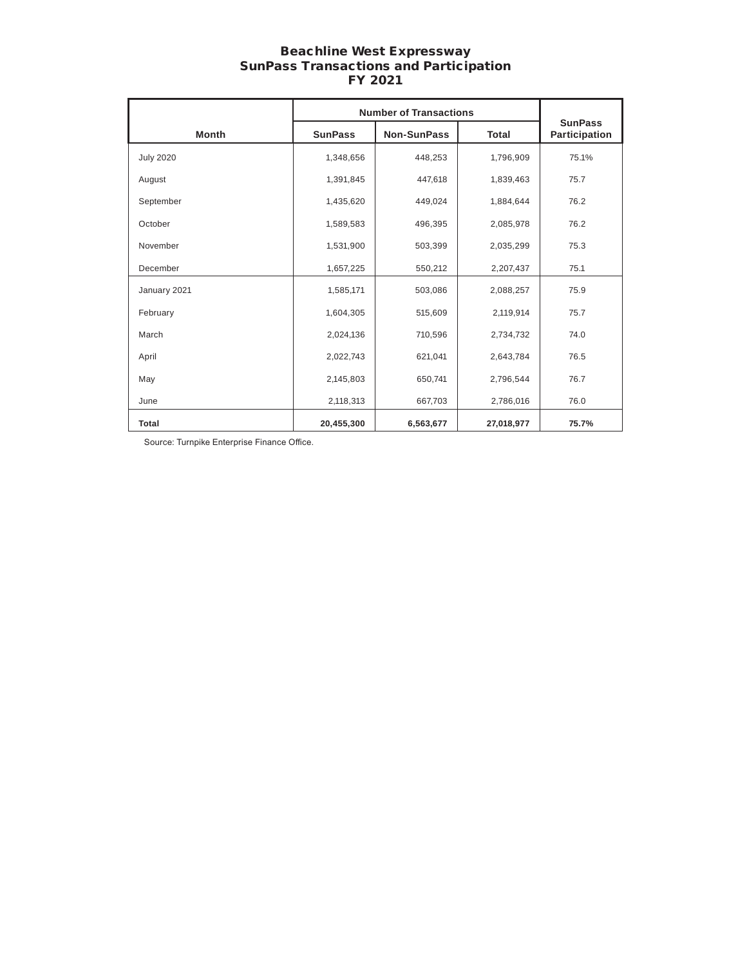### Beachline West Expressway SunPass Transactions and Participation FY 2021

|                  | <b>Number of Transactions</b> |                    |              |                                 |
|------------------|-------------------------------|--------------------|--------------|---------------------------------|
| <b>Month</b>     | <b>SunPass</b>                | <b>Non-SunPass</b> | <b>Total</b> | <b>SunPass</b><br>Participation |
| <b>July 2020</b> | 1,348,656                     | 448,253            | 1,796,909    | 75.1%                           |
| August           | 1,391,845                     | 447,618            | 1,839,463    | 75.7                            |
| September        | 1,435,620                     | 449,024            | 1,884,644    | 76.2                            |
| October          | 1,589,583                     | 496,395            | 2,085,978    | 76.2                            |
| November         | 1,531,900                     | 503,399            | 2,035,299    | 75.3                            |
| December         | 1,657,225                     | 550,212            | 2,207,437    | 75.1                            |
| January 2021     | 1,585,171                     | 503,086            | 2,088,257    | 75.9                            |
| February         | 1,604,305                     | 515,609            | 2,119,914    | 75.7                            |
| March            | 2,024,136                     | 710,596            | 2,734,732    | 74.0                            |
| April            | 2,022,743                     | 621,041            | 2,643,784    | 76.5                            |
| May              | 2,145,803                     | 650,741            | 2,796,544    | 76.7                            |
| June             | 2,118,313                     | 667,703            | 2,786,016    | 76.0                            |
| <b>Total</b>     | 20,455,300                    | 6,563,677          | 27,018,977   | 75.7%                           |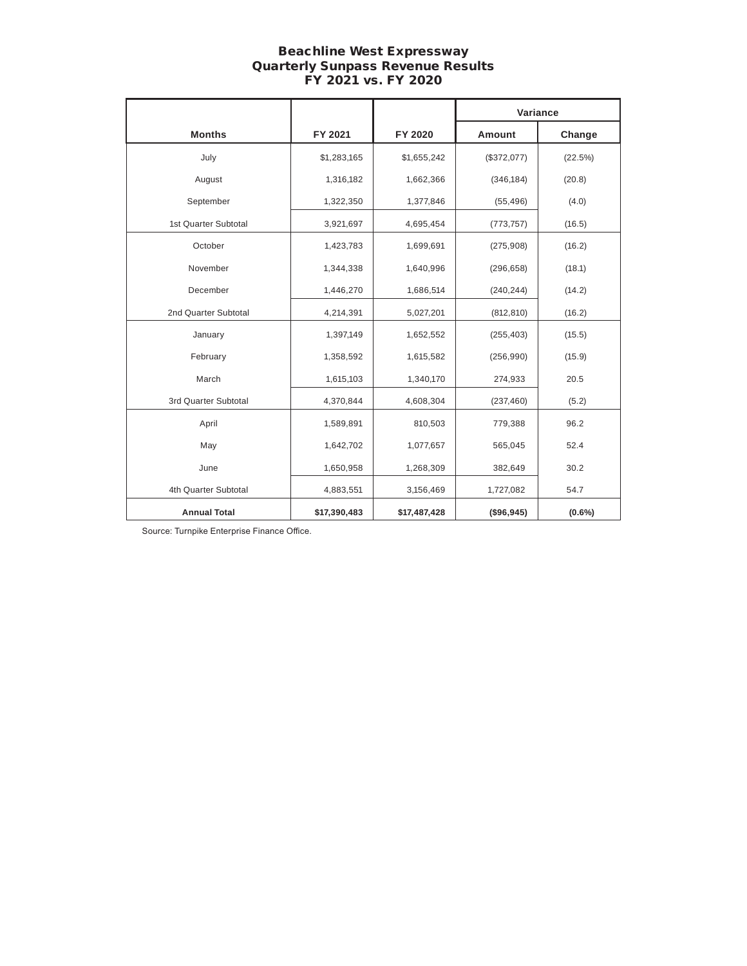# Beachline West Expressway Quarterly Sunpass Revenue Results FY 2021 vs. FY 2020

|                      |              |              | Variance    |           |
|----------------------|--------------|--------------|-------------|-----------|
| <b>Months</b>        | FY 2021      | FY 2020      | Amount      | Change    |
| July                 | \$1,283,165  | \$1,655,242  | (\$372,077) | (22.5%)   |
| August               | 1,316,182    | 1,662,366    | (346, 184)  | (20.8)    |
| September            | 1,322,350    | 1,377,846    | (55, 496)   | (4.0)     |
| 1st Quarter Subtotal | 3,921,697    | 4,695,454    | (773, 757)  | (16.5)    |
| October              | 1,423,783    | 1,699,691    | (275, 908)  | (16.2)    |
| November             | 1,344,338    | 1,640,996    | (296, 658)  | (18.1)    |
| December             | 1,446,270    | 1,686,514    | (240, 244)  | (14.2)    |
| 2nd Quarter Subtotal | 4,214,391    | 5,027,201    | (812, 810)  | (16.2)    |
| January              | 1,397,149    | 1,652,552    | (255, 403)  | (15.5)    |
| February             | 1,358,592    | 1,615,582    | (256, 990)  | (15.9)    |
| March                | 1,615,103    | 1,340,170    | 274,933     | 20.5      |
| 3rd Quarter Subtotal | 4,370,844    | 4,608,304    | (237, 460)  | (5.2)     |
| April                | 1,589,891    | 810,503      | 779,388     | 96.2      |
| May                  | 1,642,702    | 1,077,657    | 565,045     | 52.4      |
| June                 | 1,650,958    | 1,268,309    | 382,649     | 30.2      |
| 4th Quarter Subtotal | 4,883,551    | 3,156,469    | 1,727,082   | 54.7      |
| <b>Annual Total</b>  | \$17,390,483 | \$17,487,428 | (\$96,945)  | $(0.6\%)$ |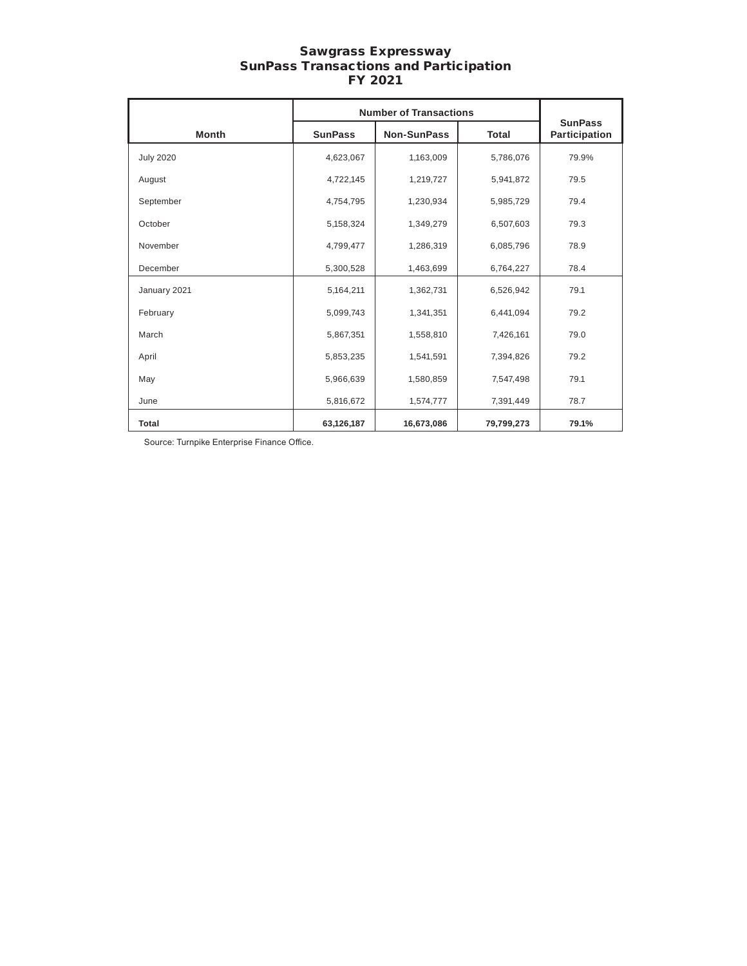### Sawgrass Expressway SunPass Transactions and Participation FY 2021

|                  | <b>Number of Transactions</b> |                    |              |                                 |
|------------------|-------------------------------|--------------------|--------------|---------------------------------|
| <b>Month</b>     | <b>SunPass</b>                | <b>Non-SunPass</b> | <b>Total</b> | <b>SunPass</b><br>Participation |
| <b>July 2020</b> | 4,623,067                     | 1,163,009          | 5,786,076    | 79.9%                           |
| August           | 4,722,145                     | 1,219,727          | 5,941,872    | 79.5                            |
| September        | 4,754,795                     | 1,230,934          | 5,985,729    | 79.4                            |
| October          | 5,158,324                     | 1,349,279          | 6,507,603    | 79.3                            |
| November         | 4,799,477                     | 1,286,319          | 6,085,796    | 78.9                            |
| December         | 5,300,528                     | 1,463,699          | 6,764,227    | 78.4                            |
| January 2021     | 5,164,211                     | 1,362,731          | 6,526,942    | 79.1                            |
| February         | 5,099,743                     | 1,341,351          | 6,441,094    | 79.2                            |
| March            | 5,867,351                     | 1,558,810          | 7,426,161    | 79.0                            |
| April            | 5,853,235                     | 1,541,591          | 7,394,826    | 79.2                            |
| May              | 5,966,639                     | 1,580,859          | 7,547,498    | 79.1                            |
| June             | 5,816,672                     | 1,574,777          | 7,391,449    | 78.7                            |
| Total            | 63,126,187                    | 16,673,086         | 79,799,273   | 79.1%                           |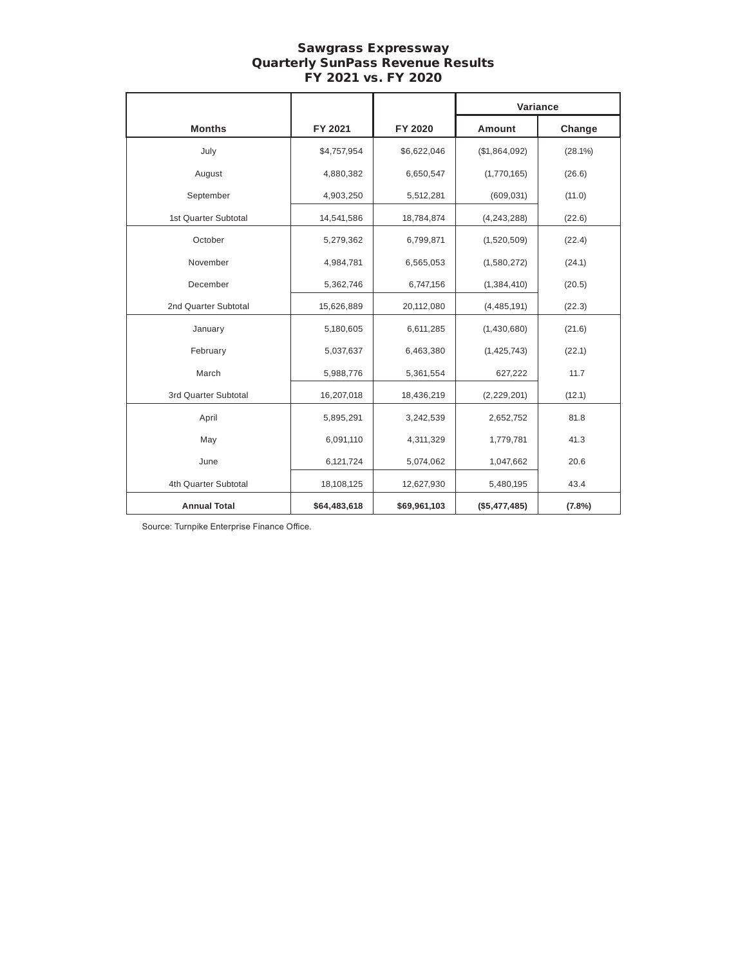# Sawgrass Expressway Quarterly SunPass Revenue Results FY 2021 vs. FY 2020

|                      |              |              |               | Variance   |
|----------------------|--------------|--------------|---------------|------------|
| <b>Months</b>        | FY 2021      | FY 2020      | <b>Amount</b> | Change     |
| July                 | \$4,757,954  | \$6,622,046  | (\$1,864,092) | $(28.1\%)$ |
| August               | 4,880,382    | 6,650,547    | (1,770,165)   | (26.6)     |
| September            | 4,903,250    | 5,512,281    | (609, 031)    | (11.0)     |
| 1st Quarter Subtotal | 14,541,586   | 18,784,874   | (4, 243, 288) | (22.6)     |
| October              | 5,279,362    | 6,799,871    | (1,520,509)   | (22.4)     |
| November             | 4,984,781    | 6,565,053    | (1,580,272)   | (24.1)     |
| December             | 5,362,746    | 6,747,156    | (1, 384, 410) | (20.5)     |
| 2nd Quarter Subtotal | 15,626,889   | 20,112,080   | (4,485,191)   | (22.3)     |
| January              | 5,180,605    | 6,611,285    | (1,430,680)   | (21.6)     |
| February             | 5,037,637    | 6,463,380    | (1, 425, 743) | (22.1)     |
| March                | 5,988,776    | 5,361,554    | 627,222       | 11.7       |
| 3rd Quarter Subtotal | 16,207,018   | 18,436,219   | (2, 229, 201) | (12.1)     |
| April                | 5,895,291    | 3,242,539    | 2,652,752     | 81.8       |
| May                  | 6,091,110    | 4,311,329    | 1,779,781     | 41.3       |
| June                 | 6,121,724    | 5,074,062    | 1,047,662     | 20.6       |
| 4th Quarter Subtotal | 18,108,125   | 12,627,930   | 5,480,195     | 43.4       |
| <b>Annual Total</b>  | \$64,483,618 | \$69,961,103 | (\$5,477,485) | (7.8%)     |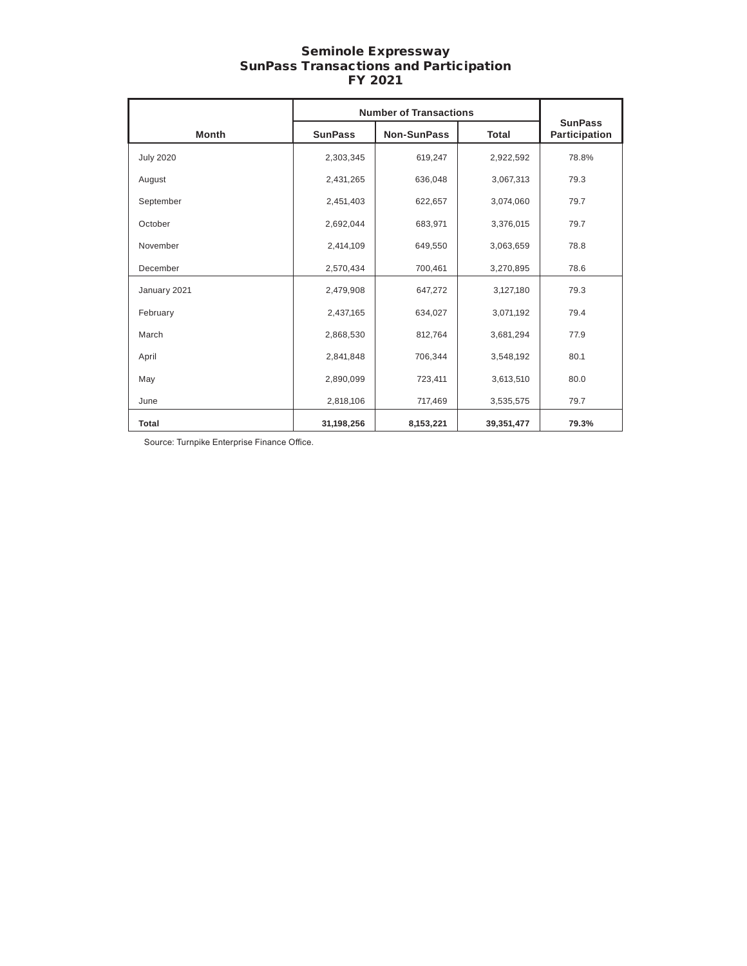### Seminole Expressway SunPass Transactions and Participation FY 2021

|                  | <b>Number of Transactions</b> |                    |              |                                 |
|------------------|-------------------------------|--------------------|--------------|---------------------------------|
| <b>Month</b>     | <b>SunPass</b>                | <b>Non-SunPass</b> | <b>Total</b> | <b>SunPass</b><br>Participation |
| <b>July 2020</b> | 2,303,345                     | 619,247            | 2,922,592    | 78.8%                           |
| August           | 2,431,265                     | 636,048            | 3,067,313    | 79.3                            |
| September        | 2,451,403                     | 622,657            | 3,074,060    | 79.7                            |
| October          | 2,692,044                     | 683,971            | 3,376,015    | 79.7                            |
| November         | 2,414,109                     | 649,550            | 3,063,659    | 78.8                            |
| December         | 2,570,434                     | 700,461            | 3,270,895    | 78.6                            |
| January 2021     | 2,479,908                     | 647,272            | 3,127,180    | 79.3                            |
| February         | 2,437,165                     | 634,027            | 3,071,192    | 79.4                            |
| March            | 2,868,530                     | 812,764            | 3,681,294    | 77.9                            |
| April            | 2,841,848                     | 706,344            | 3,548,192    | 80.1                            |
| May              | 2,890,099                     | 723,411            | 3,613,510    | 80.0                            |
| June             | 2,818,106                     | 717,469            | 3,535,575    | 79.7                            |
| <b>Total</b>     | 31,198,256                    | 8,153,221          | 39,351,477   | 79.3%                           |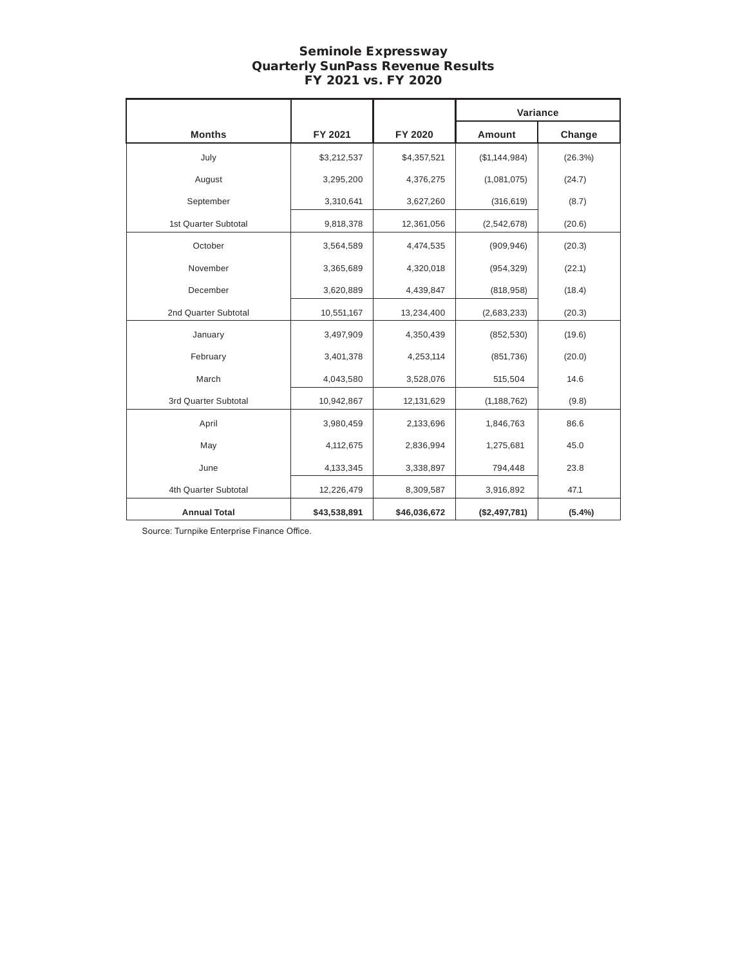# Seminole Expressway Quarterly SunPass Revenue Results FY 2021 vs. FY 2020

|                      |              |              | Variance      |           |
|----------------------|--------------|--------------|---------------|-----------|
| <b>Months</b>        | FY 2021      | FY 2020      | <b>Amount</b> | Change    |
| July                 | \$3,212,537  | \$4,357,521  | (\$1,144,984) | (26.3%)   |
| August               | 3,295,200    | 4,376,275    | (1,081,075)   | (24.7)    |
| September            | 3,310,641    | 3,627,260    | (316, 619)    | (8.7)     |
| 1st Quarter Subtotal | 9,818,378    | 12,361,056   | (2, 542, 678) | (20.6)    |
| October              | 3,564,589    | 4,474,535    | (909, 946)    | (20.3)    |
| November             | 3,365,689    | 4,320,018    | (954, 329)    | (22.1)    |
| December             | 3,620,889    | 4,439,847    | (818, 958)    | (18.4)    |
| 2nd Quarter Subtotal | 10,551,167   | 13,234,400   | (2,683,233)   | (20.3)    |
| January              | 3,497,909    | 4,350,439    | (852, 530)    | (19.6)    |
| February             | 3,401,378    | 4,253,114    | (851, 736)    | (20.0)    |
| March                | 4,043,580    | 3,528,076    | 515,504       | 14.6      |
| 3rd Quarter Subtotal | 10,942,867   | 12,131,629   | (1, 188, 762) | (9.8)     |
| April                | 3,980,459    | 2,133,696    | 1,846,763     | 86.6      |
| May                  | 4,112,675    | 2,836,994    | 1,275,681     | 45.0      |
| June                 | 4,133,345    | 3,338,897    | 794,448       | 23.8      |
| 4th Quarter Subtotal | 12,226,479   | 8,309,587    | 3,916,892     | 47.1      |
| <b>Annual Total</b>  | \$43,538,891 | \$46,036,672 | (\$2,497,781) | $(5.4\%)$ |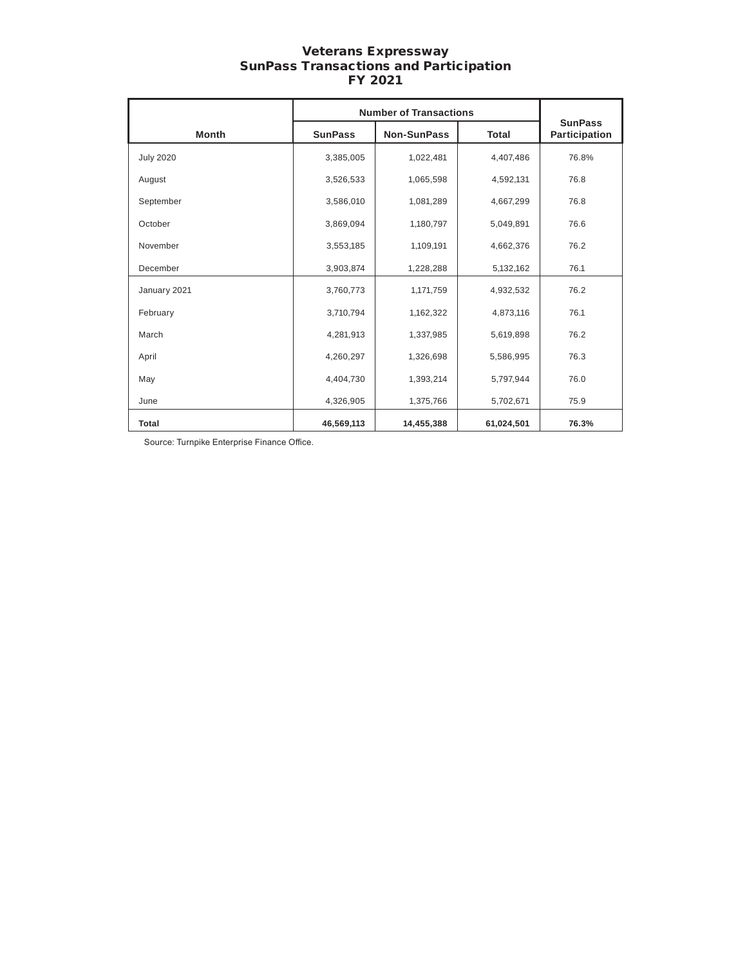### Veterans Expressway SunPass Transactions and Participation FY 2021

|                  | <b>Number of Transactions</b> |                    |              |                                 |
|------------------|-------------------------------|--------------------|--------------|---------------------------------|
| <b>Month</b>     | <b>SunPass</b>                | <b>Non-SunPass</b> | <b>Total</b> | <b>SunPass</b><br>Participation |
| <b>July 2020</b> | 3,385,005                     | 1,022,481          | 4,407,486    | 76.8%                           |
| August           | 3,526,533                     | 1,065,598          | 4,592,131    | 76.8                            |
| September        | 3,586,010                     | 1,081,289          | 4,667,299    | 76.8                            |
| October          | 3,869,094                     | 1,180,797          | 5,049,891    | 76.6                            |
| November         | 3,553,185                     | 1,109,191          | 4,662,376    | 76.2                            |
| December         | 3,903,874                     | 1,228,288          | 5,132,162    | 76.1                            |
| January 2021     | 3,760,773                     | 1,171,759          | 4,932,532    | 76.2                            |
| February         | 3,710,794                     | 1,162,322          | 4,873,116    | 76.1                            |
| March            | 4,281,913                     | 1,337,985          | 5,619,898    | 76.2                            |
| April            | 4,260,297                     | 1,326,698          | 5,586,995    | 76.3                            |
| May              | 4,404,730                     | 1,393,214          | 5,797,944    | 76.0                            |
| June             | 4,326,905                     | 1,375,766          | 5,702,671    | 75.9                            |
| <b>Total</b>     | 46,569,113                    | 14,455,388         | 61,024,501   | 76.3%                           |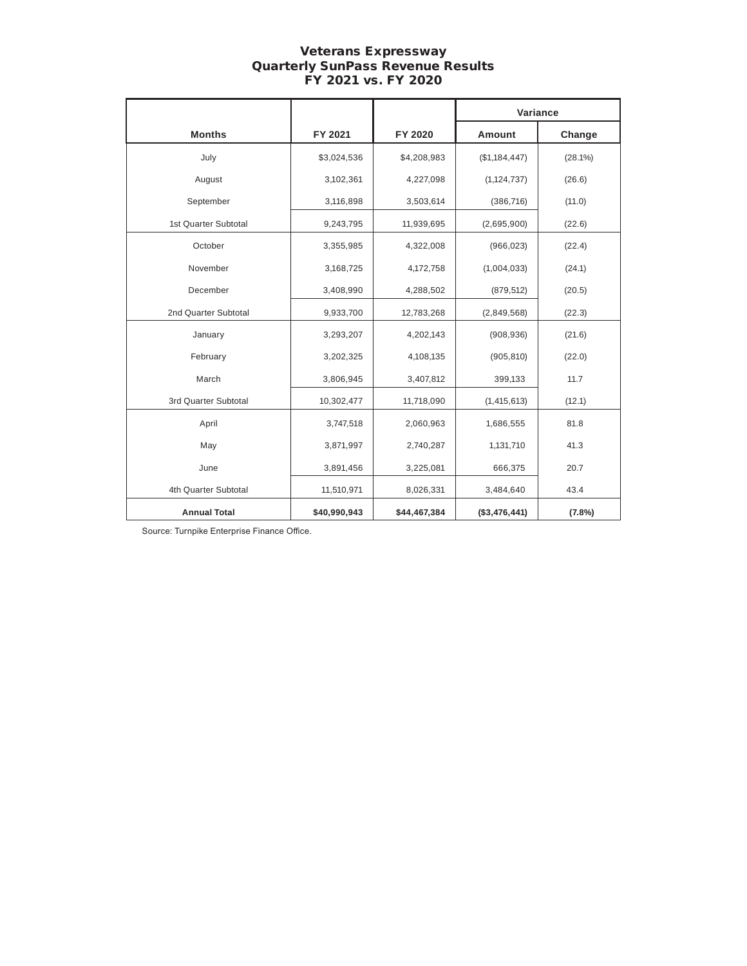# Veterans Expressway Quarterly SunPass Revenue Results FY 2021 vs. FY 2020

|                      |              |              | Variance      |            |
|----------------------|--------------|--------------|---------------|------------|
| <b>Months</b>        | FY 2021      | FY 2020      | Amount        | Change     |
| July                 | \$3,024,536  | \$4,208,983  | (\$1,184,447) | $(28.1\%)$ |
| August               | 3,102,361    | 4,227,098    | (1, 124, 737) | (26.6)     |
| September            | 3,116,898    | 3,503,614    | (386, 716)    | (11.0)     |
| 1st Quarter Subtotal | 9,243,795    | 11,939,695   | (2,695,900)   | (22.6)     |
| October              | 3,355,985    | 4,322,008    | (966, 023)    | (22.4)     |
| November             | 3,168,725    | 4,172,758    | (1,004,033)   | (24.1)     |
| December             | 3,408,990    | 4,288,502    | (879, 512)    | (20.5)     |
| 2nd Quarter Subtotal | 9,933,700    | 12,783,268   | (2,849,568)   | (22.3)     |
| January              | 3,293,207    | 4,202,143    | (908, 936)    | (21.6)     |
| February             | 3,202,325    | 4,108,135    | (905, 810)    | (22.0)     |
| March                | 3,806,945    | 3,407,812    | 399,133       | 11.7       |
| 3rd Quarter Subtotal | 10,302,477   | 11,718,090   | (1, 415, 613) | (12.1)     |
| April                | 3,747,518    | 2,060,963    | 1,686,555     | 81.8       |
| May                  | 3,871,997    | 2,740,287    | 1,131,710     | 41.3       |
| June                 | 3,891,456    | 3,225,081    | 666,375       | 20.7       |
| 4th Quarter Subtotal | 11,510,971   | 8,026,331    | 3,484,640     | 43.4       |
| <b>Annual Total</b>  | \$40,990,943 | \$44,467,384 | (\$3,476,441) | (7.8%)     |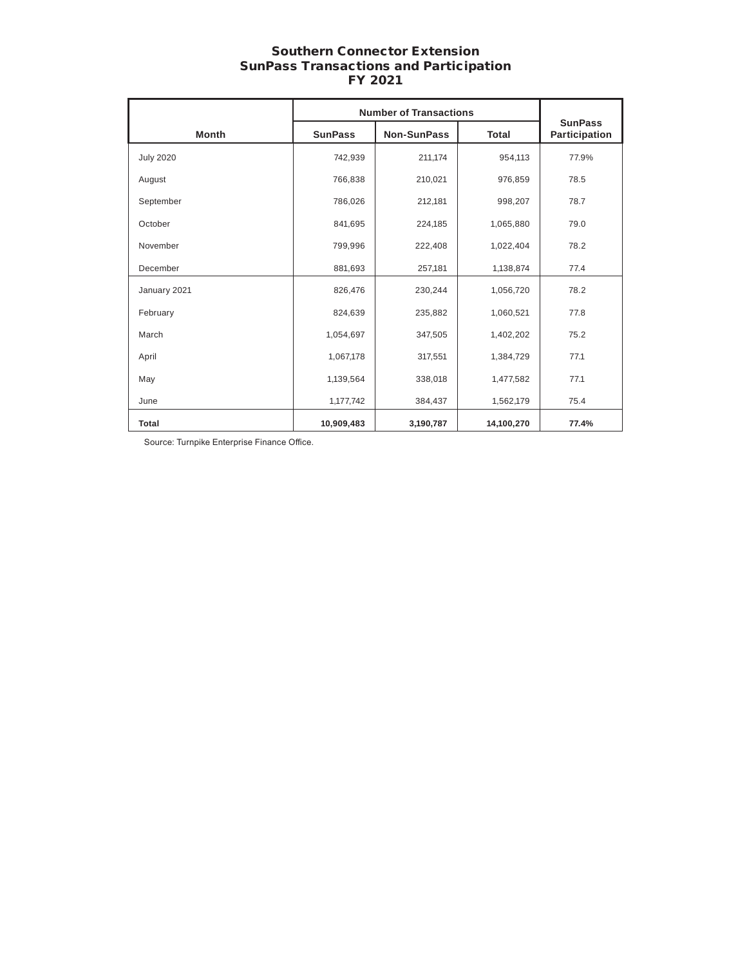# Southern Connector Extension SunPass Transactions and Participation FY 2021

|                  | <b>Number of Transactions</b> |                    |              |                                 |
|------------------|-------------------------------|--------------------|--------------|---------------------------------|
| <b>Month</b>     | <b>SunPass</b>                | <b>Non-SunPass</b> | <b>Total</b> | <b>SunPass</b><br>Participation |
| <b>July 2020</b> | 742,939                       | 211,174            | 954,113      | 77.9%                           |
| August           | 766,838                       | 210,021            | 976,859      | 78.5                            |
| September        | 786,026                       | 212,181            | 998,207      | 78.7                            |
| October          | 841,695                       | 224,185            | 1,065,880    | 79.0                            |
| November         | 799,996                       | 222,408            | 1,022,404    | 78.2                            |
| December         | 881,693                       | 257,181            | 1,138,874    | 77.4                            |
| January 2021     | 826,476                       | 230,244            | 1,056,720    | 78.2                            |
| February         | 824,639                       | 235,882            | 1,060,521    | 77.8                            |
| March            | 1,054,697                     | 347,505            | 1,402,202    | 75.2                            |
| April            | 1,067,178                     | 317,551            | 1,384,729    | 77.1                            |
| May              | 1,139,564                     | 338,018            | 1,477,582    | 77.1                            |
| June             | 1,177,742                     | 384,437            | 1,562,179    | 75.4                            |
| <b>Total</b>     | 10,909,483                    | 3,190,787          | 14,100,270   | 77.4%                           |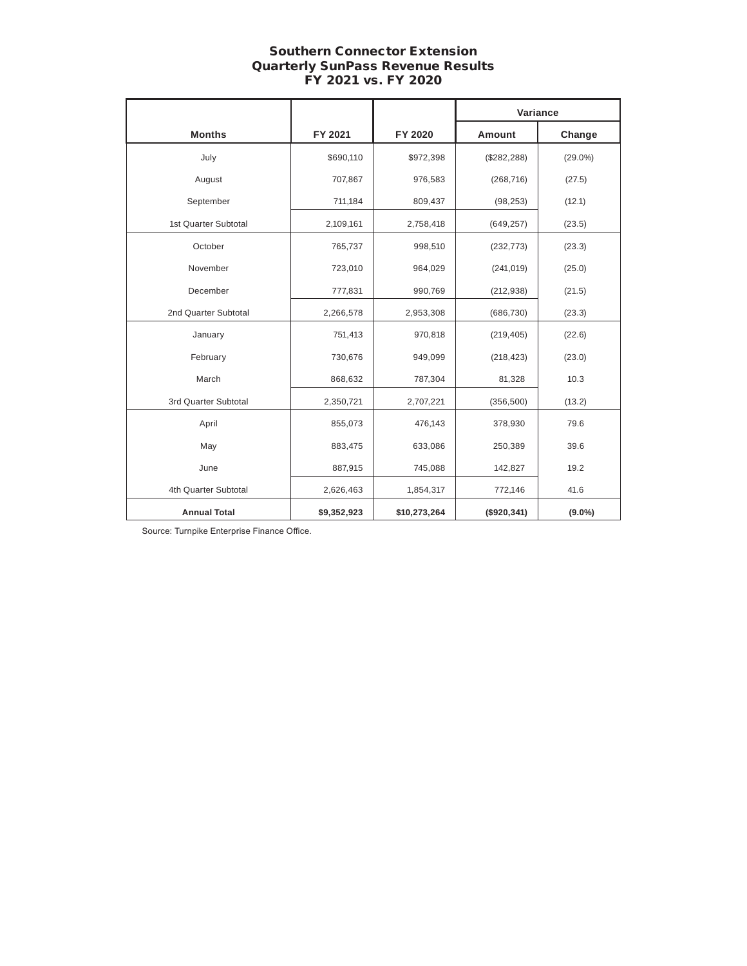# Southern Connector Extension Quarterly SunPass Revenue Results FY 2021 vs. FY 2020

|                      |             |              | Variance     |            |
|----------------------|-------------|--------------|--------------|------------|
| <b>Months</b>        | FY 2021     | FY 2020      | Amount       | Change     |
| July                 | \$690,110   | \$972,398    | (\$282, 288) | $(29.0\%)$ |
| August               | 707,867     | 976,583      | (268, 716)   | (27.5)     |
| September            | 711,184     | 809,437      | (98, 253)    | (12.1)     |
| 1st Quarter Subtotal | 2,109,161   | 2,758,418    | (649, 257)   | (23.5)     |
| October              | 765,737     | 998,510      | (232, 773)   | (23.3)     |
| November             | 723,010     | 964,029      | (241, 019)   | (25.0)     |
| December             | 777,831     | 990,769      | (212, 938)   | (21.5)     |
| 2nd Quarter Subtotal | 2,266,578   | 2,953,308    | (686, 730)   | (23.3)     |
| January              | 751,413     | 970,818      | (219, 405)   | (22.6)     |
| February             | 730,676     | 949,099      | (218, 423)   | (23.0)     |
| March                | 868,632     | 787,304      | 81,328       | 10.3       |
| 3rd Quarter Subtotal | 2,350,721   | 2,707,221    | (356, 500)   | (13.2)     |
| April                | 855,073     | 476,143      | 378,930      | 79.6       |
| May                  | 883,475     | 633,086      | 250,389      | 39.6       |
| June                 | 887,915     | 745,088      | 142,827      | 19.2       |
| 4th Quarter Subtotal | 2,626,463   | 1,854,317    | 772,146      | 41.6       |
| <b>Annual Total</b>  | \$9,352,923 | \$10,273,264 | (\$920,341)  | $(9.0\%)$  |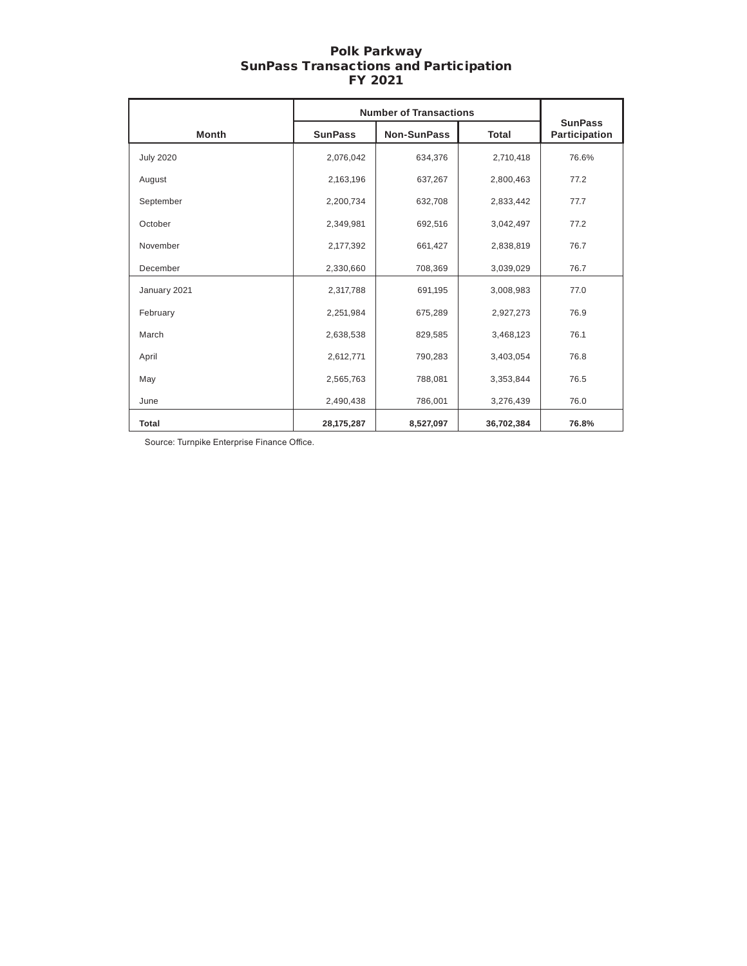# Polk Parkway SunPass Transactions and Participation FY 2021

|                  | <b>Number of Transactions</b> |                    |              |                                 |
|------------------|-------------------------------|--------------------|--------------|---------------------------------|
| <b>Month</b>     | <b>SunPass</b>                | <b>Non-SunPass</b> | <b>Total</b> | <b>SunPass</b><br>Participation |
| <b>July 2020</b> | 2,076,042                     | 634,376            | 2,710,418    | 76.6%                           |
| August           | 2,163,196                     | 637,267            | 2,800,463    | 77.2                            |
| September        | 2,200,734                     | 632,708            | 2,833,442    | 77.7                            |
| October          | 2,349,981                     | 692,516            | 3,042,497    | 77.2                            |
| November         | 2,177,392                     | 661,427            | 2,838,819    | 76.7                            |
| December         | 2,330,660                     | 708,369            | 3,039,029    | 76.7                            |
| January 2021     | 2,317,788                     | 691,195            | 3,008,983    | 77.0                            |
| February         | 2,251,984                     | 675,289            | 2,927,273    | 76.9                            |
| March            | 2,638,538                     | 829,585            | 3,468,123    | 76.1                            |
| April            | 2,612,771                     | 790,283            | 3,403,054    | 76.8                            |
| May              | 2,565,763                     | 788,081            | 3,353,844    | 76.5                            |
| June             | 2,490,438                     | 786,001            | 3,276,439    | 76.0                            |
| Total            | 28, 175, 287                  | 8,527,097          | 36,702,384   | 76.8%                           |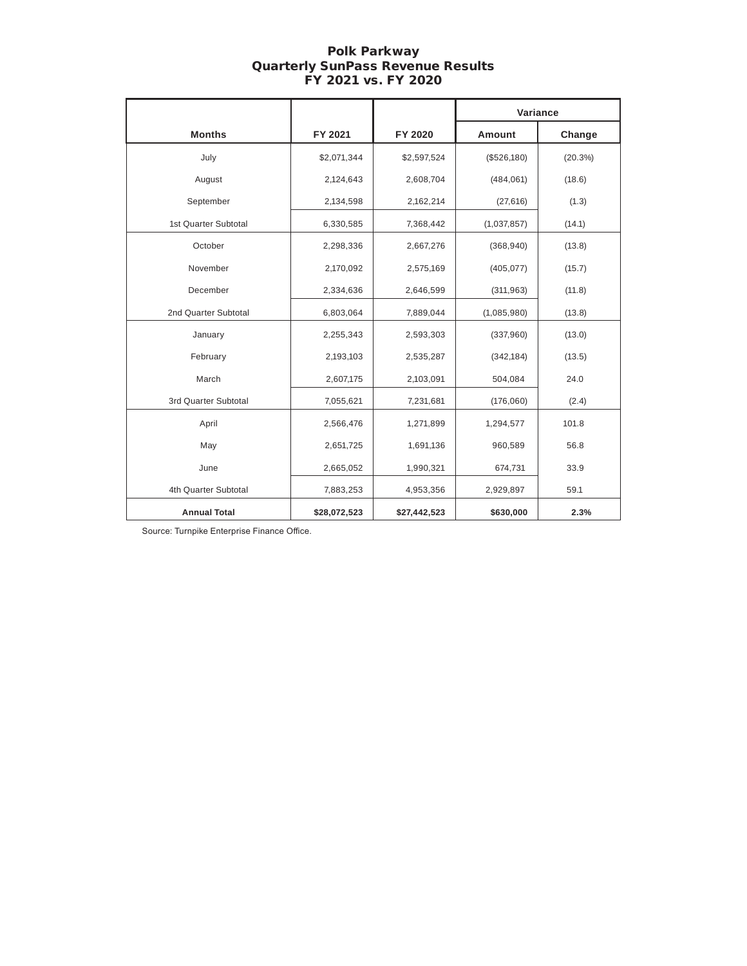# Polk Parkway Quarterly SunPass Revenue Results FY 2021 vs. FY 2020

|                      |              |              | Variance      |         |
|----------------------|--------------|--------------|---------------|---------|
| <b>Months</b>        | FY 2021      | FY 2020      | <b>Amount</b> | Change  |
| July                 | \$2,071,344  | \$2,597,524  | (\$526,180)   | (20.3%) |
| August               | 2,124,643    | 2,608,704    | (484,061)     | (18.6)  |
| September            | 2,134,598    | 2,162,214    | (27, 616)     | (1.3)   |
| 1st Quarter Subtotal | 6,330,585    | 7,368,442    | (1,037,857)   | (14.1)  |
| October              | 2,298,336    | 2,667,276    | (368, 940)    | (13.8)  |
| November             | 2,170,092    | 2,575,169    | (405, 077)    | (15.7)  |
| December             | 2,334,636    | 2,646,599    | (311, 963)    | (11.8)  |
| 2nd Quarter Subtotal | 6,803,064    | 7,889,044    | (1,085,980)   | (13.8)  |
| January              | 2,255,343    | 2,593,303    | (337,960)     | (13.0)  |
| February             | 2,193,103    | 2,535,287    | (342, 184)    | (13.5)  |
| March                | 2,607,175    | 2,103,091    | 504,084       | 24.0    |
| 3rd Quarter Subtotal | 7,055,621    | 7,231,681    | (176,060)     | (2.4)   |
| April                | 2,566,476    | 1,271,899    | 1,294,577     | 101.8   |
| May                  | 2,651,725    | 1,691,136    | 960,589       | 56.8    |
| June                 | 2,665,052    | 1,990,321    | 674,731       | 33.9    |
| 4th Quarter Subtotal | 7,883,253    | 4,953,356    | 2,929,897     | 59.1    |
| <b>Annual Total</b>  | \$28,072,523 | \$27,442,523 | \$630,000     | 2.3%    |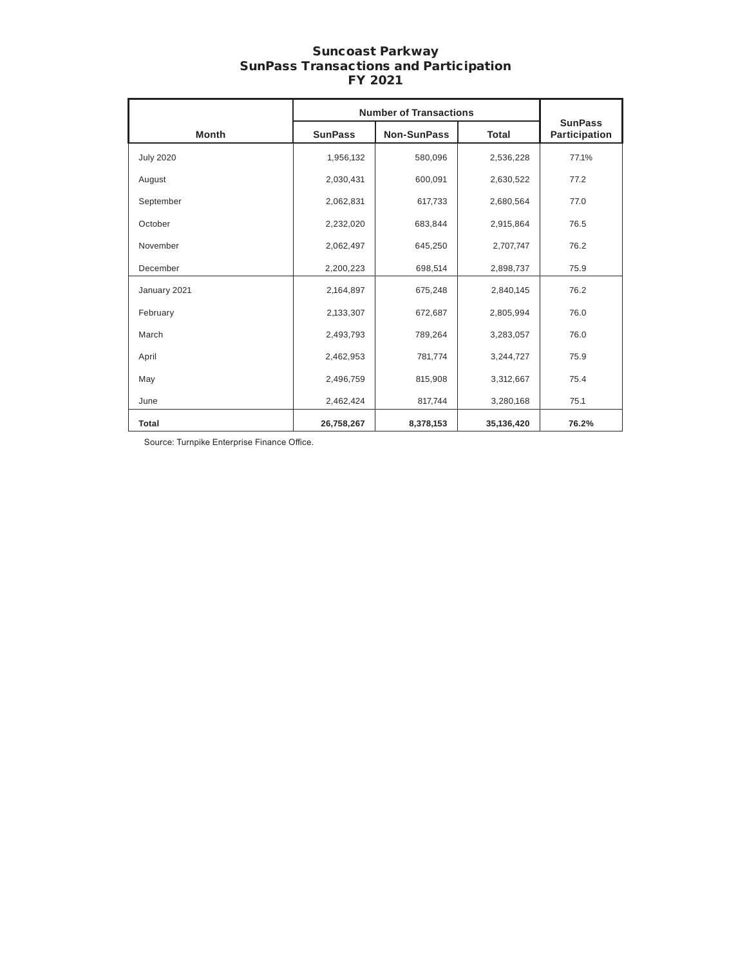## Suncoast Parkway SunPass Transactions and Participation FY 2021

|                  | <b>Number of Transactions</b> |                    |              |                                 |
|------------------|-------------------------------|--------------------|--------------|---------------------------------|
| <b>Month</b>     | <b>SunPass</b>                | <b>Non-SunPass</b> | <b>Total</b> | <b>SunPass</b><br>Participation |
| <b>July 2020</b> | 1,956,132                     | 580,096            | 2,536,228    | 77.1%                           |
| August           | 2,030,431                     | 600,091            | 2,630,522    | 77.2                            |
| September        | 2,062,831                     | 617,733            | 2,680,564    | 77.0                            |
| October          | 2,232,020                     | 683,844            | 2,915,864    | 76.5                            |
| November         | 2,062,497                     | 645,250            | 2,707,747    | 76.2                            |
| December         | 2,200,223                     | 698,514            | 2,898,737    | 75.9                            |
| January 2021     | 2,164,897                     | 675,248            | 2,840,145    | 76.2                            |
| February         | 2,133,307                     | 672,687            | 2,805,994    | 76.0                            |
| March            | 2,493,793                     | 789,264            | 3,283,057    | 76.0                            |
| April            | 2,462,953                     | 781,774            | 3,244,727    | 75.9                            |
| May              | 2,496,759                     | 815,908            | 3,312,667    | 75.4                            |
| June             | 2,462,424                     | 817,744            | 3,280,168    | 75.1                            |
| Total            | 26,758,267                    | 8,378,153          | 35,136,420   | 76.2%                           |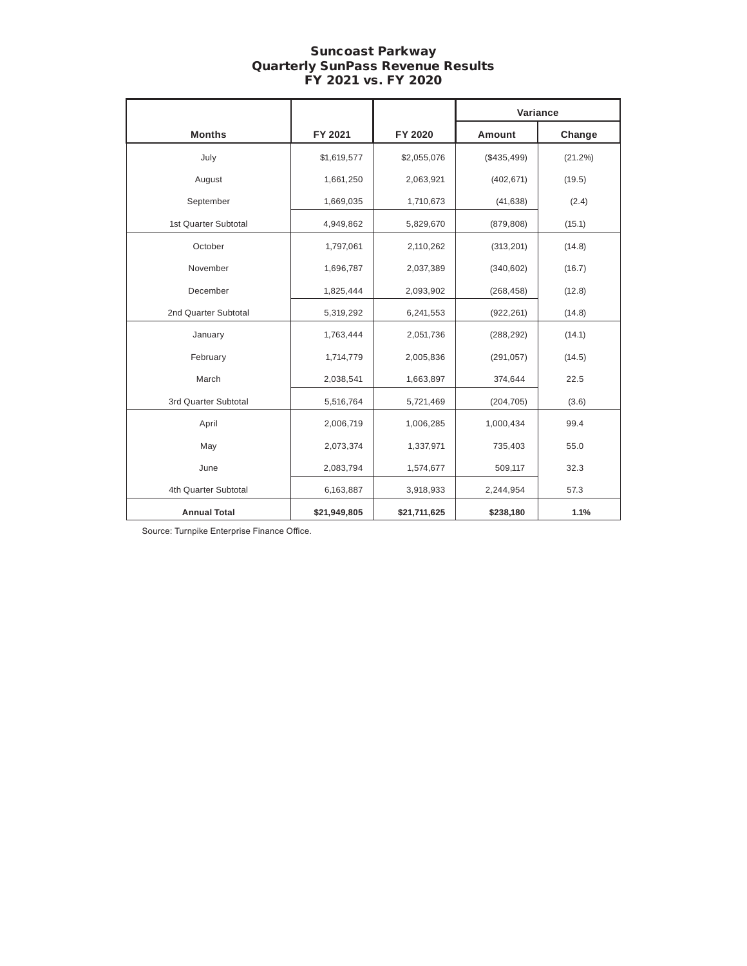### Suncoast Parkway Quarterly SunPass Revenue Results FY 2021 vs. FY 2020

|                      |              |                         | Variance      |         |  |
|----------------------|--------------|-------------------------|---------------|---------|--|
| <b>Months</b>        | FY 2021      | FY 2020                 | <b>Amount</b> | Change  |  |
| July                 | \$1,619,577  | \$2,055,076             | (\$435,499)   | (21.2%) |  |
| August               | 1,661,250    | 2,063,921               | (402, 671)    | (19.5)  |  |
| September            | 1,669,035    | 1,710,673               | (41, 638)     | (2.4)   |  |
| 1st Quarter Subtotal | 4,949,862    | 5,829,670               | (879, 808)    | (15.1)  |  |
| October              | 1,797,061    | 2,110,262               | (313, 201)    | (14.8)  |  |
| November             | 1,696,787    | 2,037,389               | (340, 602)    | (16.7)  |  |
| December             | 1,825,444    | 2,093,902               | (268, 458)    | (12.8)  |  |
| 2nd Quarter Subtotal | 5,319,292    | 6,241,553<br>(922, 261) |               | (14.8)  |  |
| January              | 1,763,444    | 2,051,736               | (288, 292)    | (14.1)  |  |
| February             | 1,714,779    | 2,005,836               | (291, 057)    | (14.5)  |  |
| March                | 2,038,541    | 1,663,897               | 374,644       | 22.5    |  |
| 3rd Quarter Subtotal | 5,516,764    | 5,721,469               | (204, 705)    | (3.6)   |  |
| April                | 2,006,719    | 1,006,285               | 1,000,434     | 99.4    |  |
| May                  | 2,073,374    | 1,337,971               | 735,403       | 55.0    |  |
| June                 | 2,083,794    | 1,574,677               | 509,117       | 32.3    |  |
| 4th Quarter Subtotal | 6,163,887    | 3,918,933               | 2,244,954     | 57.3    |  |
| <b>Annual Total</b>  | \$21,949,805 | \$21,711,625            | \$238,180     | 1.1%    |  |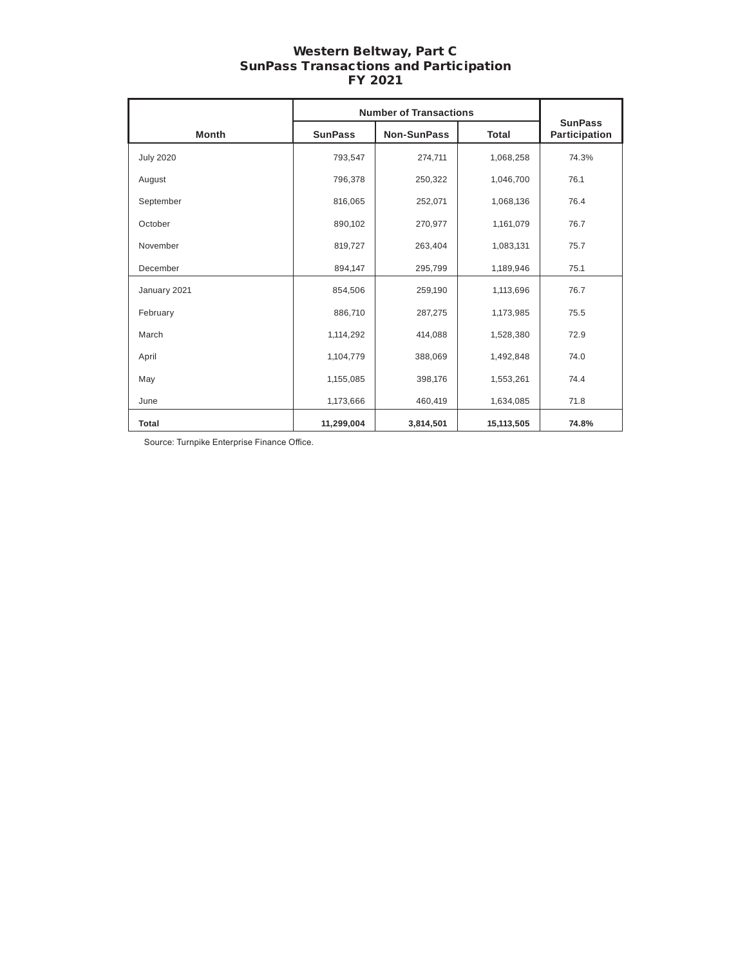# Western Beltway, Part C SunPass Transactions and Participation FY 2021

|                  |                | <b>Number of Transactions</b>      | <b>SunPass</b> |       |  |
|------------------|----------------|------------------------------------|----------------|-------|--|
| <b>Month</b>     | <b>SunPass</b> | <b>Non-SunPass</b><br><b>Total</b> |                |       |  |
| <b>July 2020</b> | 793,547        | 274,711                            | 1,068,258      | 74.3% |  |
| August           | 796,378        | 250,322                            | 1,046,700      | 76.1  |  |
| September        | 816,065        | 252,071                            | 1,068,136      | 76.4  |  |
| October          | 890,102        | 270,977                            | 1,161,079      | 76.7  |  |
| November         | 819,727        | 263,404                            | 1,083,131      | 75.7  |  |
| December         | 894,147        | 295,799                            | 1,189,946      | 75.1  |  |
| January 2021     | 854,506        | 259,190                            | 1,113,696      | 76.7  |  |
| February         | 886,710        | 287,275                            | 1,173,985      | 75.5  |  |
| March            | 1,114,292      | 414,088                            | 1,528,380      | 72.9  |  |
| April            | 1,104,779      | 388,069                            | 1,492,848      | 74.0  |  |
| May              | 1,155,085      | 398,176                            | 1,553,261      | 74.4  |  |
| June             | 1,173,666      | 460,419                            | 1,634,085      | 71.8  |  |
| <b>Total</b>     | 11,299,004     | 3,814,501                          | 15,113,505     | 74.8% |  |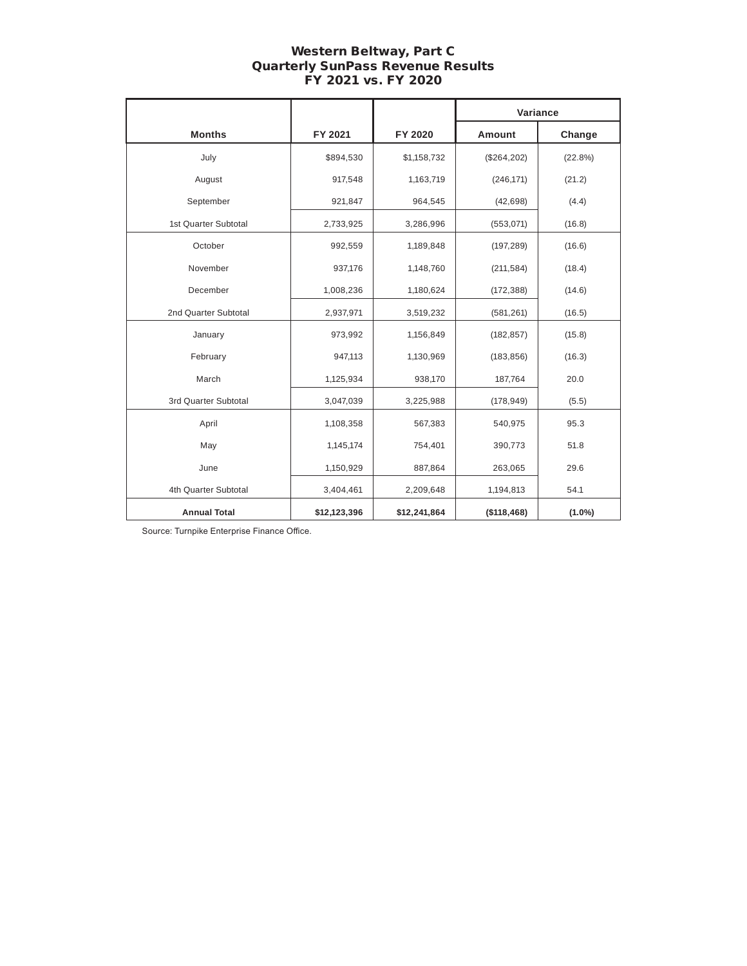# Western Beltway, Part C Quarterly SunPass Revenue Results FY 2021 vs. FY 2020

|                      |              |              | Variance     |           |
|----------------------|--------------|--------------|--------------|-----------|
| <b>Months</b>        | FY 2021      | FY 2020      | Amount       | Change    |
| July                 | \$894,530    | \$1,158,732  | (\$264, 202) | (22.8%)   |
| August               | 917,548      | 1,163,719    | (246, 171)   | (21.2)    |
| September            | 921,847      | 964,545      | (42, 698)    | (4.4)     |
| 1st Quarter Subtotal | 2,733,925    | 3,286,996    | (553, 071)   | (16.8)    |
| October              | 992,559      | 1,189,848    | (197, 289)   | (16.6)    |
| November             | 937,176      | 1,148,760    | (211, 584)   | (18.4)    |
| December             | 1,008,236    | 1,180,624    | (172, 388)   | (14.6)    |
| 2nd Quarter Subtotal | 2,937,971    | 3,519,232    | (581, 261)   | (16.5)    |
| January              | 973,992      | 1,156,849    | (182, 857)   | (15.8)    |
| February             | 947,113      | 1,130,969    | (183, 856)   | (16.3)    |
| March                | 1,125,934    | 938,170      | 187,764      | 20.0      |
| 3rd Quarter Subtotal | 3,047,039    | 3,225,988    | (178, 949)   | (5.5)     |
| April                | 1,108,358    | 567,383      | 540,975      | 95.3      |
| May                  | 1,145,174    | 754,401      | 390,773      | 51.8      |
| June                 | 1,150,929    | 887,864      | 263,065      | 29.6      |
| 4th Quarter Subtotal | 3,404,461    | 2,209,648    | 1,194,813    | 54.1      |
| <b>Annual Total</b>  | \$12,123,396 | \$12,241,864 | (\$118,468)  | $(1.0\%)$ |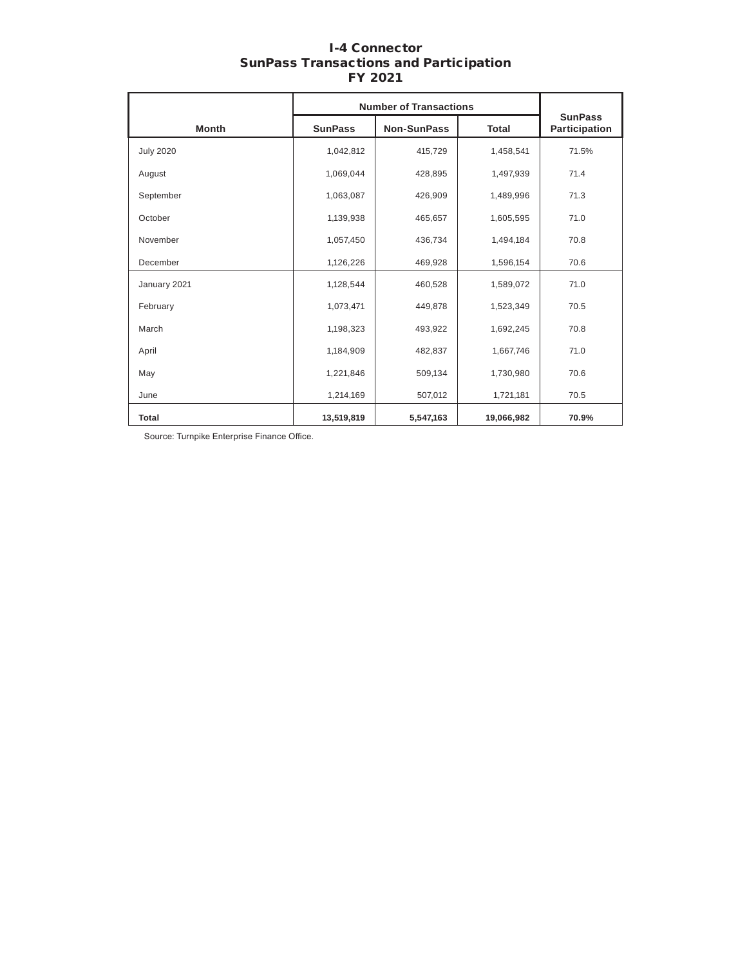# I-4 Connector SunPass Transactions and Participation FY 2021

|                  |                | <b>Number of Transactions</b> |              |                                 |
|------------------|----------------|-------------------------------|--------------|---------------------------------|
| <b>Month</b>     | <b>SunPass</b> | <b>Non-SunPass</b>            | <b>Total</b> | <b>SunPass</b><br>Participation |
| <b>July 2020</b> | 1,042,812      | 415,729                       | 1,458,541    | 71.5%                           |
| August           | 1,069,044      | 428,895                       | 1,497,939    | 71.4                            |
| September        | 1,063,087      | 426,909                       | 1,489,996    | 71.3                            |
| October          | 1,139,938      | 465,657                       | 1,605,595    | 71.0                            |
| November         | 1,057,450      | 436,734                       | 1,494,184    | 70.8                            |
| December         | 1,126,226      | 469,928                       | 1,596,154    | 70.6                            |
| January 2021     | 1,128,544      | 460,528                       | 1,589,072    | 71.0                            |
| February         | 1,073,471      | 449,878                       | 1,523,349    | 70.5                            |
| March            | 1,198,323      | 493,922                       | 1,692,245    | 70.8                            |
| April            | 1,184,909      | 482,837                       | 1,667,746    | 71.0                            |
| May              | 1,221,846      | 509,134                       | 1,730,980    | 70.6                            |
| June             | 1,214,169      | 507,012                       | 1,721,181    | 70.5                            |
| Total            | 13,519,819     | 5,547,163                     | 19,066,982   | 70.9%                           |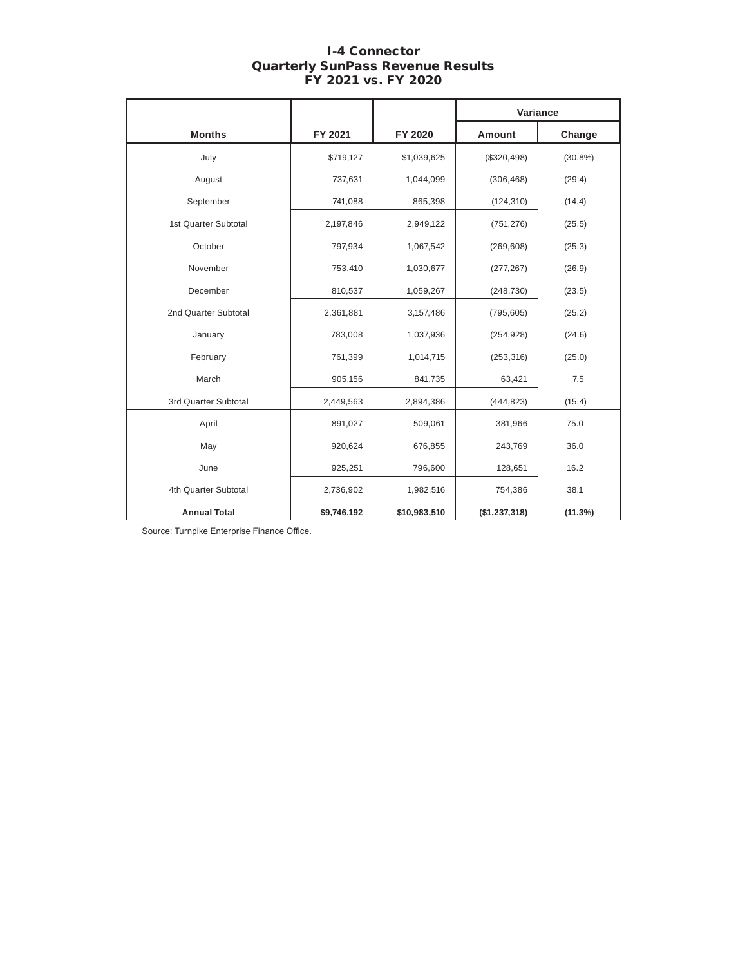# I-4 Connector Quarterly SunPass Revenue Results FY 2021 vs. FY 2020

|                      |             |              | Variance      |            |
|----------------------|-------------|--------------|---------------|------------|
| <b>Months</b>        | FY 2021     | FY 2020      | Amount        | Change     |
| July                 | \$719,127   | \$1,039,625  | (\$320,498)   | $(30.8\%)$ |
| August               | 737,631     | 1,044,099    | (306, 468)    | (29.4)     |
| September            | 741,088     | 865,398      | (124, 310)    | (14.4)     |
| 1st Quarter Subtotal | 2,197,846   | 2,949,122    | (751, 276)    | (25.5)     |
| October              | 797,934     | 1,067,542    | (269, 608)    | (25.3)     |
| November             | 753,410     | 1,030,677    | (277, 267)    | (26.9)     |
| December             | 810,537     | 1,059,267    | (248, 730)    | (23.5)     |
| 2nd Quarter Subtotal | 2,361,881   | 3,157,486    | (795, 605)    | (25.2)     |
| January              | 783,008     | 1,037,936    | (254, 928)    | (24.6)     |
| February             | 761,399     | 1,014,715    | (253, 316)    | (25.0)     |
| March                | 905,156     | 841,735      | 63,421        | 7.5        |
| 3rd Quarter Subtotal | 2,449,563   | 2,894,386    | (444, 823)    | (15.4)     |
| April                | 891,027     | 509,061      | 381,966       | 75.0       |
| May                  | 920,624     | 676,855      | 243,769       | 36.0       |
| June                 | 925,251     | 796,600      | 128,651       | 16.2       |
| 4th Quarter Subtotal | 2,736,902   | 1,982,516    | 754,386       | 38.1       |
| <b>Annual Total</b>  | \$9,746,192 | \$10,983,510 | (\$1,237,318) | (11.3%)    |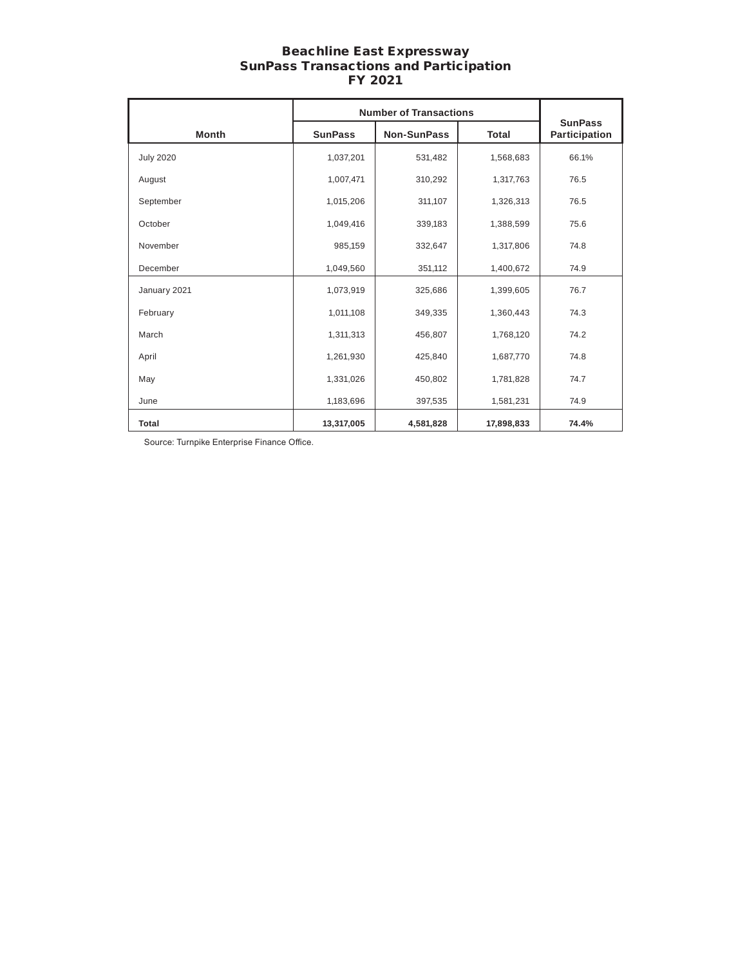### Beachline East Expressway SunPass Transactions and Participation FY 2021

|                  |                | <b>Number of Transactions</b>      | <b>SunPass</b> |       |  |
|------------------|----------------|------------------------------------|----------------|-------|--|
| <b>Month</b>     | <b>SunPass</b> | <b>Non-SunPass</b><br><b>Total</b> |                |       |  |
| <b>July 2020</b> | 1,037,201      | 531,482                            | 1,568,683      | 66.1% |  |
| August           | 1,007,471      | 310,292                            | 1,317,763      | 76.5  |  |
| September        | 1,015,206      | 311,107                            | 1,326,313      | 76.5  |  |
| October          | 1,049,416      | 339,183                            | 1,388,599      | 75.6  |  |
| November         | 985,159        | 332,647                            | 1,317,806      | 74.8  |  |
| December         | 1,049,560      | 351,112                            | 1,400,672      | 74.9  |  |
| January 2021     | 1,073,919      | 325,686                            | 1,399,605      | 76.7  |  |
| February         | 1,011,108      | 349,335                            | 1,360,443      | 74.3  |  |
| March            | 1,311,313      | 456,807                            | 1,768,120      | 74.2  |  |
| April            | 1,261,930      | 425,840                            | 1,687,770      | 74.8  |  |
| May              | 1,331,026      | 450,802                            | 1,781,828      | 74.7  |  |
| June             | 1,183,696      | 397,535                            | 1,581,231      | 74.9  |  |
| <b>Total</b>     | 13,317,005     | 4,581,828                          | 17,898,833     | 74.4% |  |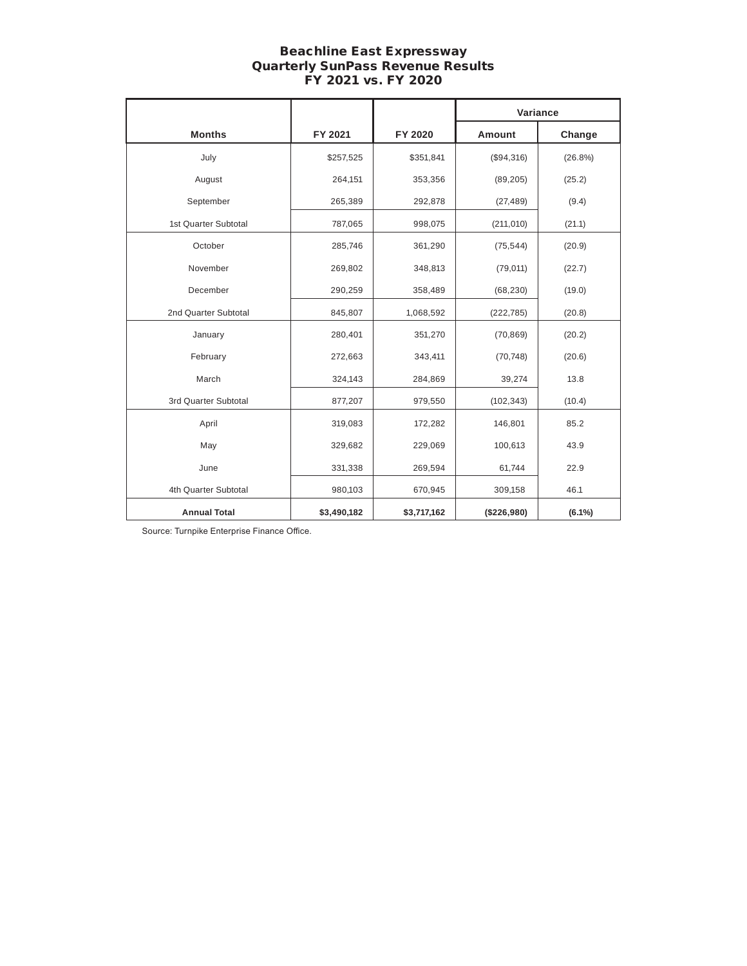# Beachline East Expressway Quarterly SunPass Revenue Results FY 2021 vs. FY 2020

|                      |             |             | Variance      |            |
|----------------------|-------------|-------------|---------------|------------|
| <b>Months</b>        | FY 2021     | FY 2020     | <b>Amount</b> | Change     |
| July                 | \$257,525   | \$351,841   | (\$94,316)    | $(26.8\%)$ |
| August               | 264,151     | 353,356     | (89, 205)     | (25.2)     |
| September            | 265,389     | 292,878     | (27, 489)     | (9.4)      |
| 1st Quarter Subtotal | 787,065     | 998,075     | (211, 010)    | (21.1)     |
| October              | 285,746     | 361,290     | (75, 544)     | (20.9)     |
| November             | 269,802     | 348,813     | (79, 011)     | (22.7)     |
| December             | 290,259     | 358,489     | (68, 230)     | (19.0)     |
| 2nd Quarter Subtotal | 845,807     | 1,068,592   | (222, 785)    | (20.8)     |
| January              | 280,401     | 351,270     | (70, 869)     | (20.2)     |
| February             | 272,663     | 343,411     | (70, 748)     | (20.6)     |
| March                | 324,143     | 284,869     | 39,274        | 13.8       |
| 3rd Quarter Subtotal | 877,207     | 979,550     | (102, 343)    | (10.4)     |
| April                | 319,083     | 172,282     | 146,801       | 85.2       |
| May                  | 329,682     | 229,069     | 100,613       | 43.9       |
| June                 | 331,338     | 269,594     | 61,744        | 22.9       |
| 4th Quarter Subtotal | 980,103     | 670,945     | 309,158       | 46.1       |
| <b>Annual Total</b>  | \$3,490,182 | \$3,717,162 | (\$226,980)   | $(6.1\%)$  |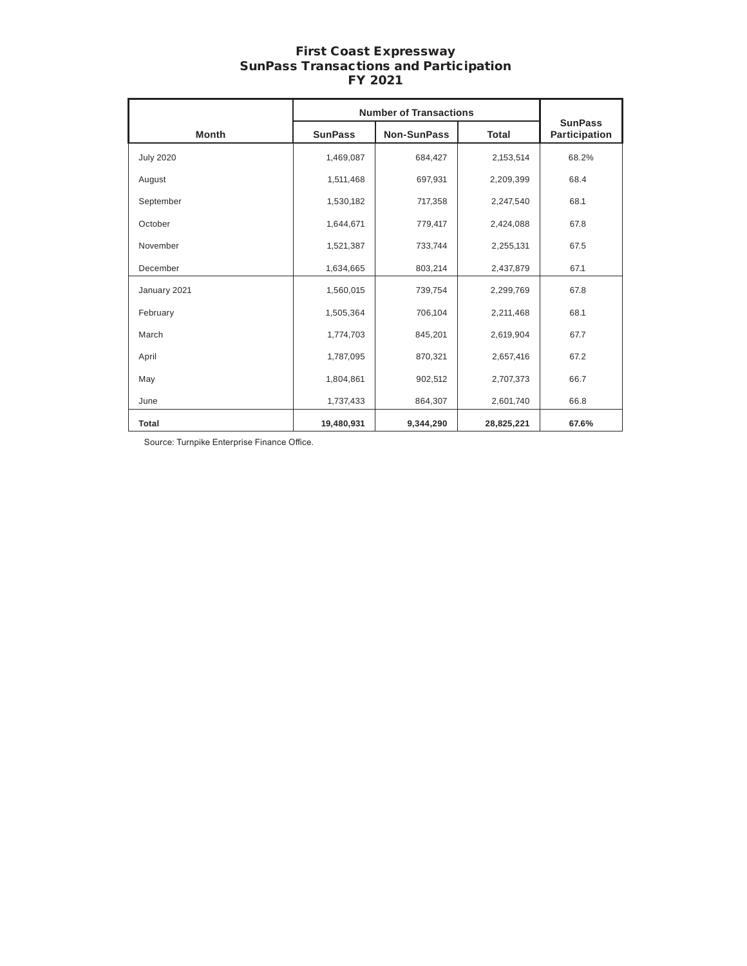### First Coast Expressway SunPass Transactions and Participation FY 2021

|                  |                | <b>Number of Transactions</b>      | <b>SunPass</b> |       |  |
|------------------|----------------|------------------------------------|----------------|-------|--|
| <b>Month</b>     | <b>SunPass</b> | <b>Non-SunPass</b><br><b>Total</b> |                |       |  |
| <b>July 2020</b> | 1,469,087      | 684,427                            | 2,153,514      | 68.2% |  |
| August           | 1,511,468      | 697,931                            | 2,209,399      | 68.4  |  |
| September        | 1,530,182      | 717,358                            | 2,247,540      | 68.1  |  |
| October          | 1,644,671      | 779,417                            | 2,424,088      | 67.8  |  |
| November         | 1,521,387      | 733,744                            | 2,255,131      | 67.5  |  |
| December         | 1,634,665      | 803,214                            | 2,437,879      | 67.1  |  |
| January 2021     | 1,560,015      | 739,754                            | 2,299,769      | 67.8  |  |
| February         | 1,505,364      | 706,104                            | 2,211,468      | 68.1  |  |
| March            | 1,774,703      | 845,201                            | 2,619,904      | 67.7  |  |
| April            | 1,787,095      | 870,321                            | 2,657,416      | 67.2  |  |
| May              | 1,804,861      | 902,512                            | 2,707,373      | 66.7  |  |
| June             | 1,737,433      | 864,307                            | 2,601,740      | 66.8  |  |
| Total            | 19,480,931     | 9,344,290                          | 28,825,221     | 67.6% |  |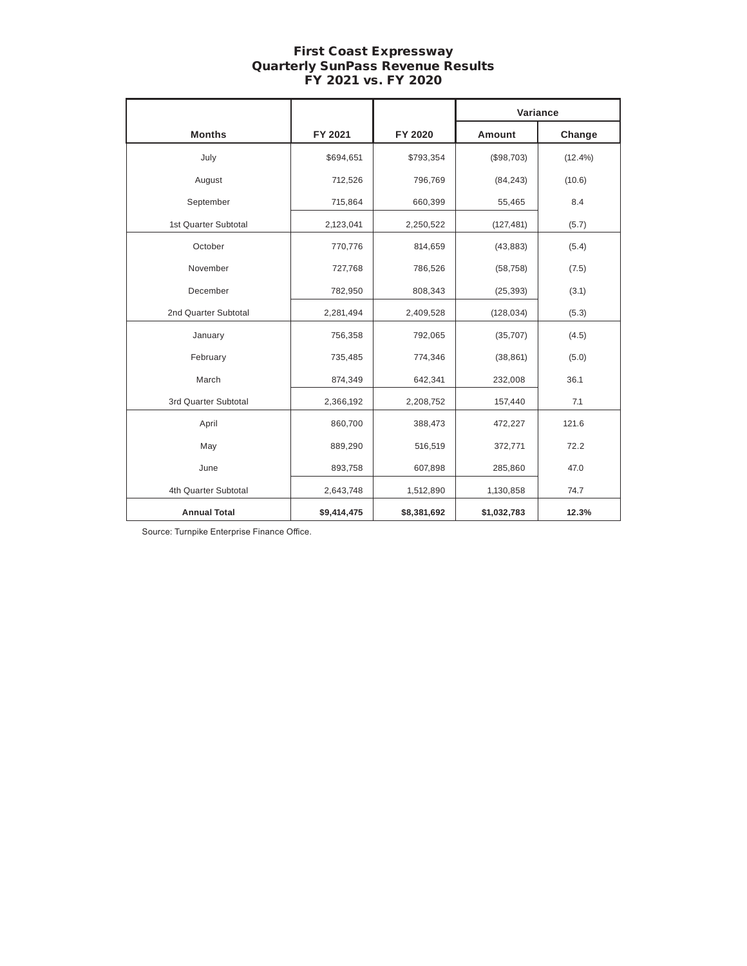# First Coast Expressway Quarterly SunPass Revenue Results FY 2021 vs. FY 2020

|                      |             |                         | Variance    |            |  |
|----------------------|-------------|-------------------------|-------------|------------|--|
| <b>Months</b>        | FY 2021     | FY 2020                 | Amount      | Change     |  |
| July                 | \$694,651   | \$793,354               | (\$98,703)  | $(12.4\%)$ |  |
| August               | 712,526     | 796,769                 | (84, 243)   | (10.6)     |  |
| September            | 715,864     | 660,399                 | 55,465      | 8.4        |  |
| 1st Quarter Subtotal | 2,123,041   | 2,250,522               | (127, 481)  | (5.7)      |  |
| October              | 770,776     | 814,659                 | (43, 883)   | (5.4)      |  |
| November             | 727,768     | 786,526                 | (58, 758)   | (7.5)      |  |
| December             | 782,950     | 808,343                 | (25, 393)   | (3.1)      |  |
| 2nd Quarter Subtotal | 2,281,494   | 2,409,528<br>(128, 034) |             | (5.3)      |  |
| January              | 756,358     | 792,065                 | (35, 707)   | (4.5)      |  |
| February             | 735,485     | 774,346                 | (38, 861)   | (5.0)      |  |
| March                | 874,349     | 642,341                 | 232,008     | 36.1       |  |
| 3rd Quarter Subtotal | 2,366,192   | 2,208,752               | 157,440     | 7.1        |  |
| April                | 860,700     | 388,473                 | 472,227     | 121.6      |  |
| May                  | 889,290     | 516,519                 | 372,771     | 72.2       |  |
| June                 | 893,758     | 607,898                 | 285,860     | 47.0       |  |
| 4th Quarter Subtotal | 2,643,748   | 1,512,890               | 1,130,858   | 74.7       |  |
| <b>Annual Total</b>  | \$9,414,475 | \$8,381,692             | \$1,032,783 | 12.3%      |  |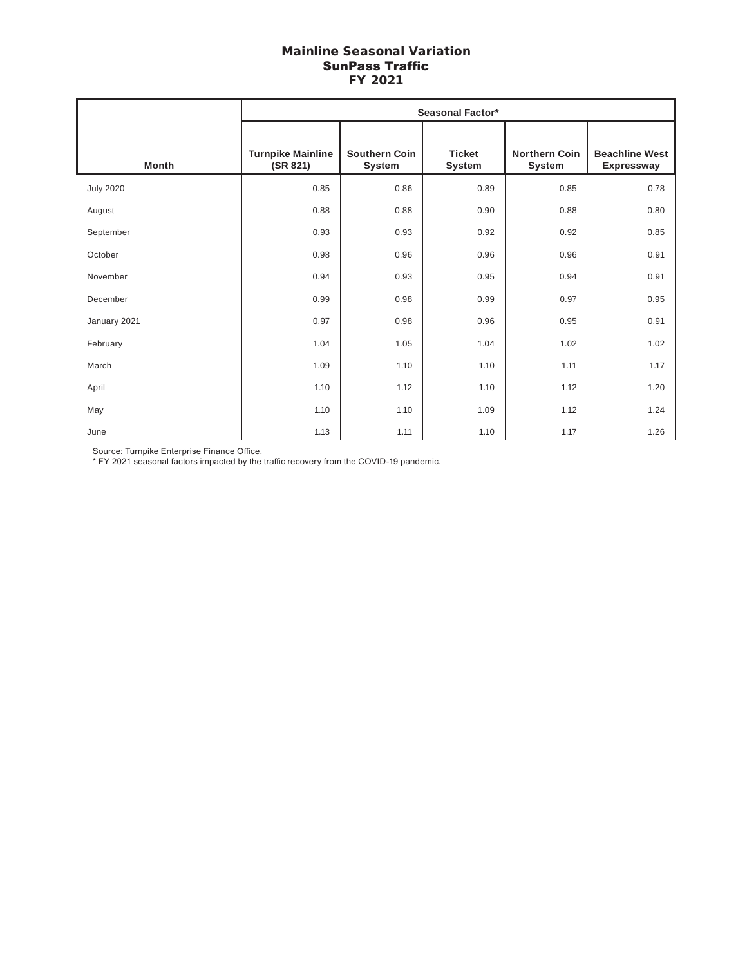# Mainline Seasonal Variation SunPass Traffic FY 2021

|                  | <b>Seasonal Factor*</b>              |                                |                         |                                |                                            |  |  |  |
|------------------|--------------------------------------|--------------------------------|-------------------------|--------------------------------|--------------------------------------------|--|--|--|
| <b>Month</b>     | <b>Turnpike Mainline</b><br>(SR 821) | <b>Southern Coin</b><br>System | <b>Ticket</b><br>System | <b>Northern Coin</b><br>System | <b>Beachline West</b><br><b>Expressway</b> |  |  |  |
| <b>July 2020</b> | 0.85                                 | 0.86                           | 0.89                    | 0.85                           | 0.78                                       |  |  |  |
| August           | 0.88                                 | 0.88                           | 0.90                    | 0.88                           | 0.80                                       |  |  |  |
| September        | 0.93                                 | 0.93                           | 0.92                    | 0.92                           | 0.85                                       |  |  |  |
| October          | 0.98                                 | 0.96                           | 0.96                    | 0.96                           | 0.91                                       |  |  |  |
| November         | 0.94                                 | 0.93                           | 0.95                    | 0.94                           | 0.91                                       |  |  |  |
| December         | 0.99                                 | 0.98                           | 0.99                    | 0.97                           | 0.95                                       |  |  |  |
| January 2021     | 0.97                                 | 0.98                           | 0.96                    | 0.95                           | 0.91                                       |  |  |  |
| February         | 1.04                                 | 1.05                           | 1.04                    | 1.02                           | 1.02                                       |  |  |  |
| March            | 1.09                                 | 1.10                           | 1.10                    | 1.11                           | 1.17                                       |  |  |  |
| April            | 1.10                                 | 1.12                           | 1.10                    | 1.12                           | 1.20                                       |  |  |  |
| May              | 1.10                                 | 1.10                           | 1.09                    | 1.12                           | 1.24                                       |  |  |  |
| June             | 1.13                                 | 1.11                           | 1.10                    | 1.17                           | 1.26                                       |  |  |  |

Source: Turnpike Enterprise Finance Office.

\* FY 2021 seasonal factors impacted by the traffic recovery from the COVID-19 pandemic.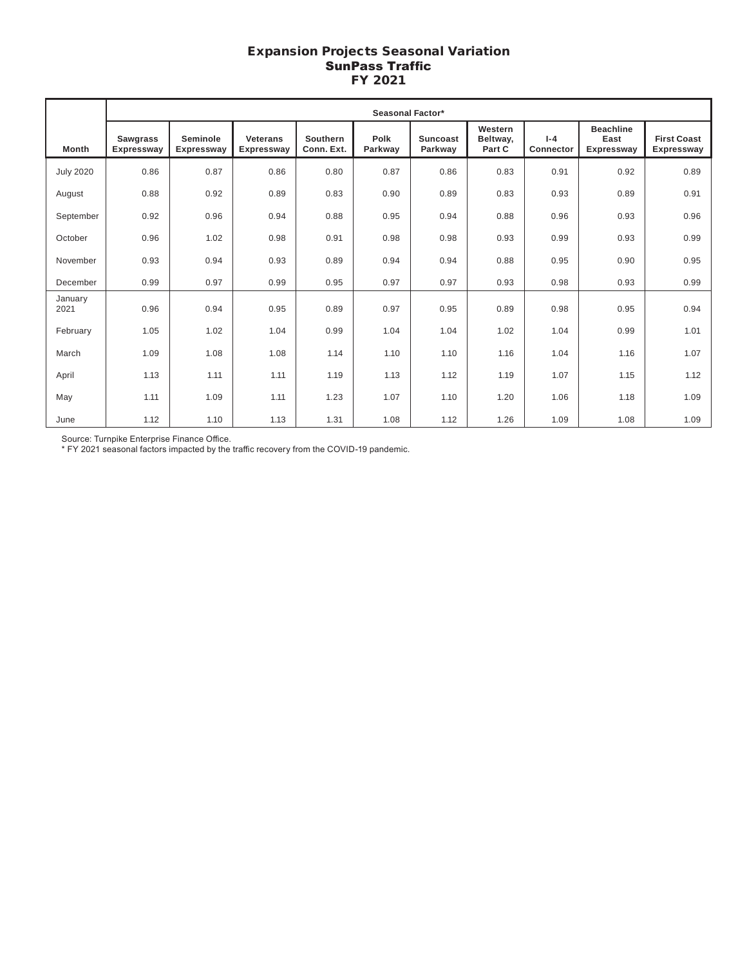# Expansion Projects Seasonal Variation SunPass Traffic FY 2021

|                  | Seasonal Factor*              |                               |                                      |                        |                 |                     |                               |                      |                                        |                                  |
|------------------|-------------------------------|-------------------------------|--------------------------------------|------------------------|-----------------|---------------------|-------------------------------|----------------------|----------------------------------------|----------------------------------|
| Month            | <b>Sawgrass</b><br>Expressway | Seminole<br><b>Expressway</b> | <b>Veterans</b><br><b>Expressway</b> | Southern<br>Conn. Ext. | Polk<br>Parkway | Suncoast<br>Parkway | Western<br>Beltway,<br>Part C | $I - 4$<br>Connector | <b>Beachline</b><br>East<br>Expressway | <b>First Coast</b><br>Expressway |
| <b>July 2020</b> | 0.86                          | 0.87                          | 0.86                                 | 0.80                   | 0.87            | 0.86                | 0.83                          | 0.91                 | 0.92                                   | 0.89                             |
| August           | 0.88                          | 0.92                          | 0.89                                 | 0.83                   | 0.90            | 0.89                | 0.83                          | 0.93                 | 0.89                                   | 0.91                             |
| September        | 0.92                          | 0.96                          | 0.94                                 | 0.88                   | 0.95            | 0.94                | 0.88                          | 0.96                 | 0.93                                   | 0.96                             |
| October          | 0.96                          | 1.02                          | 0.98                                 | 0.91                   | 0.98            | 0.98                | 0.93                          | 0.99                 | 0.93                                   | 0.99                             |
| November         | 0.93                          | 0.94                          | 0.93                                 | 0.89                   | 0.94            | 0.94                | 0.88                          | 0.95                 | 0.90                                   | 0.95                             |
| December         | 0.99                          | 0.97                          | 0.99                                 | 0.95                   | 0.97            | 0.97                | 0.93                          | 0.98                 | 0.93                                   | 0.99                             |
| January<br>2021  | 0.96                          | 0.94                          | 0.95                                 | 0.89                   | 0.97            | 0.95                | 0.89                          | 0.98                 | 0.95                                   | 0.94                             |
| February         | 1.05                          | 1.02                          | 1.04                                 | 0.99                   | 1.04            | 1.04                | 1.02                          | 1.04                 | 0.99                                   | 1.01                             |
| March            | 1.09                          | 1.08                          | 1.08                                 | 1.14                   | 1.10            | 1.10                | 1.16                          | 1.04                 | 1.16                                   | 1.07                             |
| April            | 1.13                          | 1.11                          | 1.11                                 | 1.19                   | 1.13            | 1.12                | 1.19                          | 1.07                 | 1.15                                   | 1.12                             |
| May              | 1.11                          | 1.09                          | 1.11                                 | 1.23                   | 1.07            | 1.10                | 1.20                          | 1.06                 | 1.18                                   | 1.09                             |
| June             | 1.12                          | 1.10                          | 1.13                                 | 1.31                   | 1.08            | 1.12                | 1.26                          | 1.09                 | 1.08                                   | 1.09                             |

Source: Turnpike Enterprise Finance Office.

\* FY 2021 seasonal factors impacted by the traffic recovery from the COVID-19 pandemic.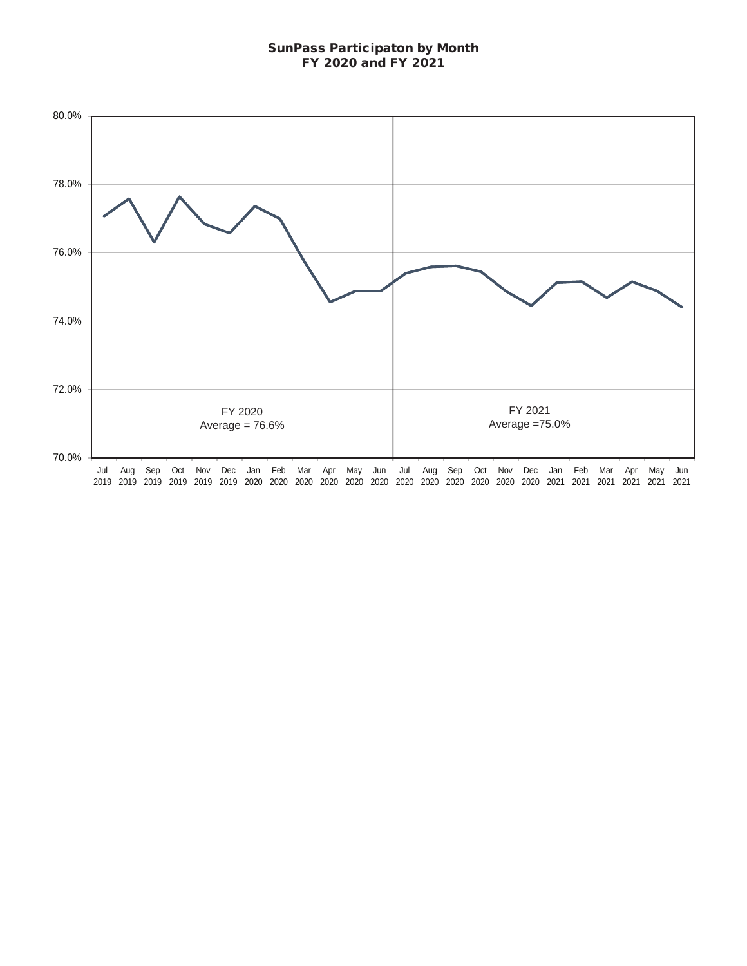# SunPass Participaton by Month FY 2020 and FY 2021

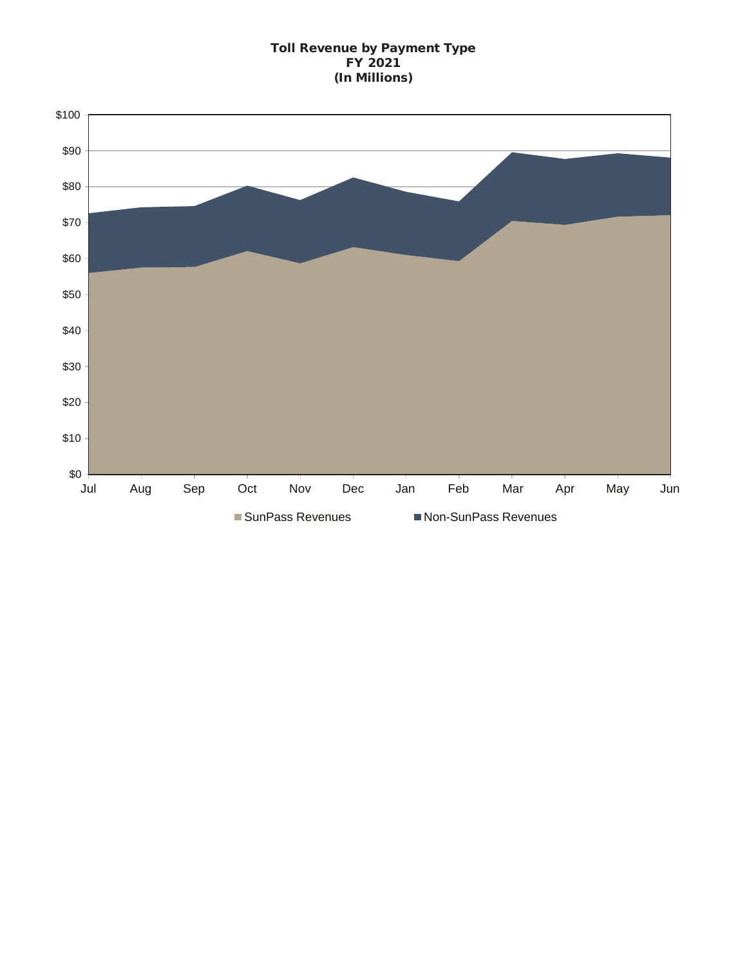### Toll Revenue by Payment Type FY 2021 (In Millions)

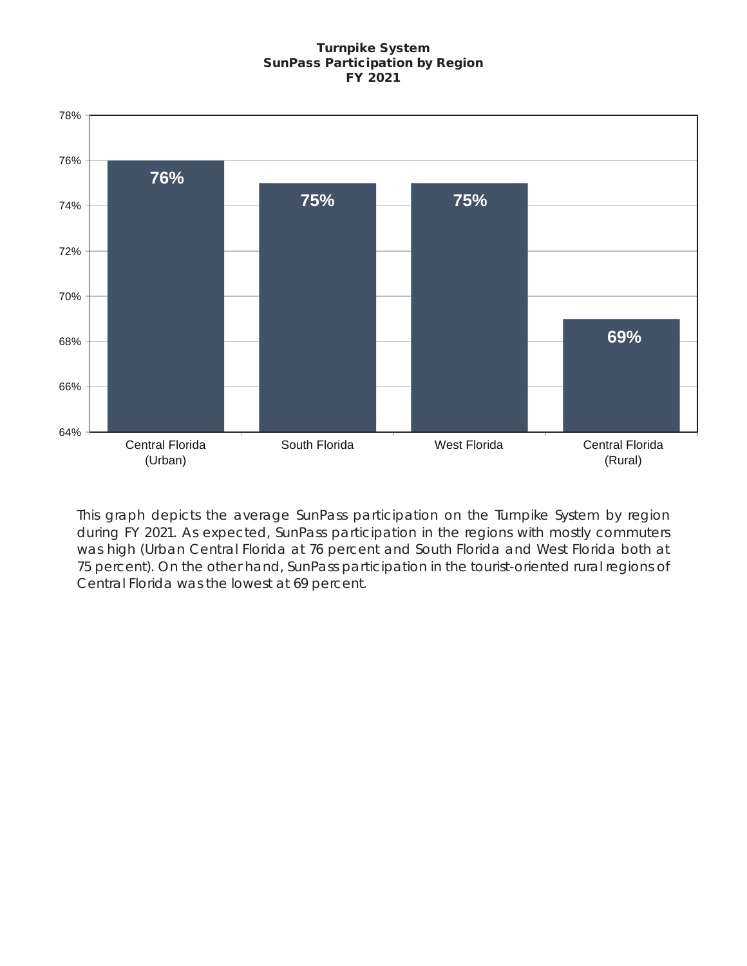### Turnpike System SunPass Participation by Region FY 2021



This graph depicts the average SunPass participation on the Turnpike System by region during FY 2021. As expected, SunPass participation in the regions with mostly commuters was high (Urban Central Florida at 76 percent and South Florida and West Florida both at 75 percent). On the other hand, SunPass participation in the tourist-oriented rural regions of Central Florida was the lowest at 69 percent.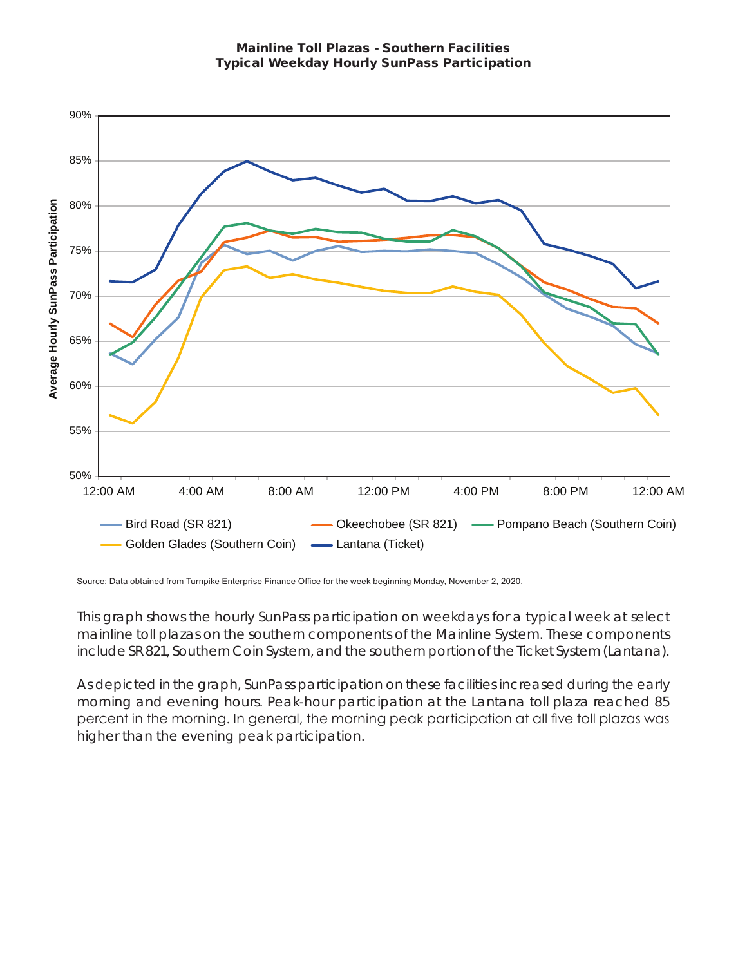Mainline Toll Plazas - Southern Facilities Typical Weekday Hourly SunPass Participation



Source: Data obtained from Turnpike Enterprise Finance Office for the week beginning Monday, November 2, 2020.

This graph shows the hourly SunPass participation on weekdays for a typical week at select mainline toll plazas on the southern components of the Mainline System. These components include SR 821, Southern Coin System, and the southern portion of the Ticket System (Lantana).

As depicted in the graph, SunPass participation on these facilities increased during the early morning and evening hours. Peak-hour participation at the Lantana toll plaza reached 85 percent in the morning. In general, the morning peak participation at all five toll plazas was higher than the evening peak participation.